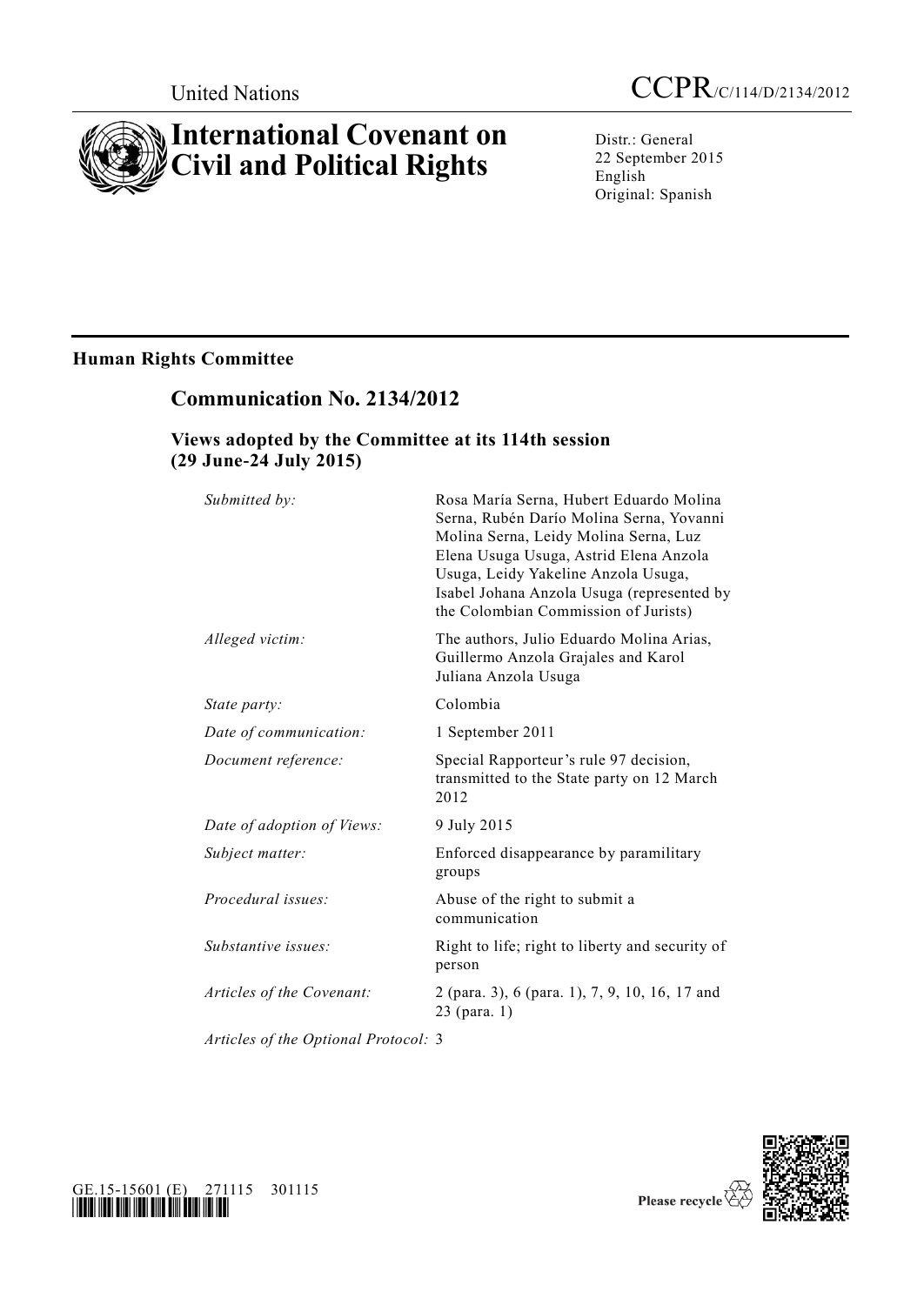# **International Covenant on Civil and Political Rights**

Distr.: General 22 September 2015 English Original: Spanish

# **Human Rights Committee**

# **Communication No. 2134/2012**

### **Views adopted by the Committee at its 114th session (29 June-24 July 2015)**

| Submitted by:                        | Rosa María Serna, Hubert Eduardo Molina<br>Serna, Rubén Darío Molina Serna, Yovanni<br>Molina Serna, Leidy Molina Serna, Luz<br>Elena Usuga Usuga, Astrid Elena Anzola<br>Usuga, Leidy Yakeline Anzola Usuga,<br>Isabel Johana Anzola Usuga (represented by<br>the Colombian Commission of Jurists) |
|--------------------------------------|-----------------------------------------------------------------------------------------------------------------------------------------------------------------------------------------------------------------------------------------------------------------------------------------------------|
| Alleged victim:                      | The authors, Julio Eduardo Molina Arias,<br>Guillermo Anzola Grajales and Karol<br>Juliana Anzola Usuga                                                                                                                                                                                             |
| State party:                         | Colombia                                                                                                                                                                                                                                                                                            |
| Date of communication:               | 1 September 2011                                                                                                                                                                                                                                                                                    |
| Document reference:                  | Special Rapporteur's rule 97 decision,<br>transmitted to the State party on 12 March<br>2012                                                                                                                                                                                                        |
| Date of adoption of Views:           | 9 July 2015                                                                                                                                                                                                                                                                                         |
| Subject matter:                      | Enforced disappearance by paramilitary<br>groups                                                                                                                                                                                                                                                    |
| Procedural issues:                   | Abuse of the right to submit a<br>communication                                                                                                                                                                                                                                                     |
| Substantive issues:                  | Right to life; right to liberty and security of<br>person                                                                                                                                                                                                                                           |
| Articles of the Covenant:            | 2 (para. 3), 6 (para. 1), 7, 9, 10, 16, 17 and<br>23 (para. 1)                                                                                                                                                                                                                                      |
| Articles of the Optional Protocol: 3 |                                                                                                                                                                                                                                                                                                     |

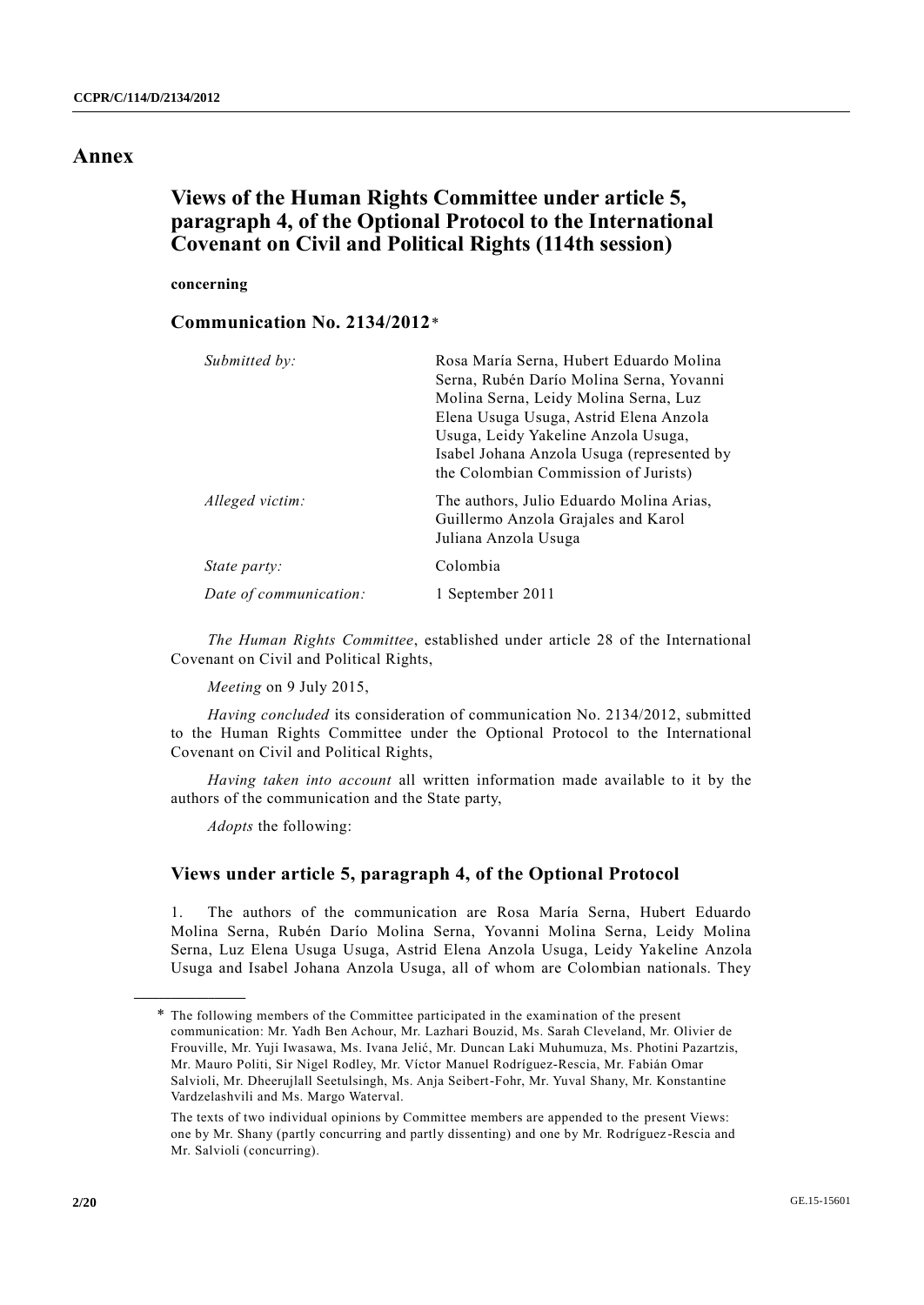### **Annex**

# **Views of the Human Rights Committee under article 5, paragraph 4, of the Optional Protocol to the International Covenant on Civil and Political Rights (114th session)**

**concerning**

### **Communication No. 2134/2012**\*

| Submitted by:          | Rosa María Serna, Hubert Eduardo Molina<br>Serna, Rubén Darío Molina Serna, Yovanni<br>Molina Serna, Leidy Molina Serna, Luz<br>Elena Usuga Usuga, Astrid Elena Anzola<br>Usuga, Leidy Yakeline Anzola Usuga,<br>Isabel Johana Anzola Usuga (represented by<br>the Colombian Commission of Jurists) |
|------------------------|-----------------------------------------------------------------------------------------------------------------------------------------------------------------------------------------------------------------------------------------------------------------------------------------------------|
| Alleged victim:        | The authors, Julio Eduardo Molina Arias,<br>Guillermo Anzola Grajales and Karol<br>Juliana Anzola Usuga                                                                                                                                                                                             |
| <i>State party:</i>    | Colombia                                                                                                                                                                                                                                                                                            |
| Date of communication: | 1 September 2011                                                                                                                                                                                                                                                                                    |

*The Human Rights Committee*, established under article 28 of the International Covenant on Civil and Political Rights,

*Meeting* on 9 July 2015,

*Having concluded* its consideration of communication No. 2134/2012, submitted to the Human Rights Committee under the Optional Protocol to the International Covenant on Civil and Political Rights,

*Having taken into account* all written information made available to it by the authors of the communication and the State party,

*Adopts* the following:

**\_\_\_\_\_\_\_\_\_\_\_\_\_\_\_\_\_\_**

### **Views under article 5, paragraph 4, of the Optional Protocol**

1. The authors of the communication are Rosa María Serna, Hubert Eduardo Molina Serna, Rubén Darío Molina Serna, Yovanni Molina Serna, Leidy Molina Serna, Luz Elena Usuga Usuga, Astrid Elena Anzola Usuga, Leidy Yakeline Anzola Usuga and Isabel Johana Anzola Usuga, all of whom are Colombian nationals. They

<sup>\*</sup> The following members of the Committee participated in the exami nation of the present communication: Mr. Yadh Ben Achour, Mr. Lazhari Bouzid, Ms. Sarah Cleveland, Mr. Olivier de Frouville, Mr. Yuji Iwasawa, Ms. Ivana Jelić, Mr. Duncan Laki Muhumuza, Ms. Photini Pazartzis, Mr. Mauro Politi, Sir Nigel Rodley, Mr. Víctor Manuel Rodríguez-Rescia, Mr. Fabián Omar Salvioli, Mr. Dheerujlall Seetulsingh, Ms. Anja Seibert-Fohr, Mr. Yuval Shany, Mr. Konstantine Vardzelashvili and Ms. Margo Waterval.

The texts of two individual opinions by Committee members are appended to the present Views: one by Mr. Shany (partly concurring and partly dissenting) and one by Mr. Rodríguez -Rescia and Mr. Salvioli (concurring).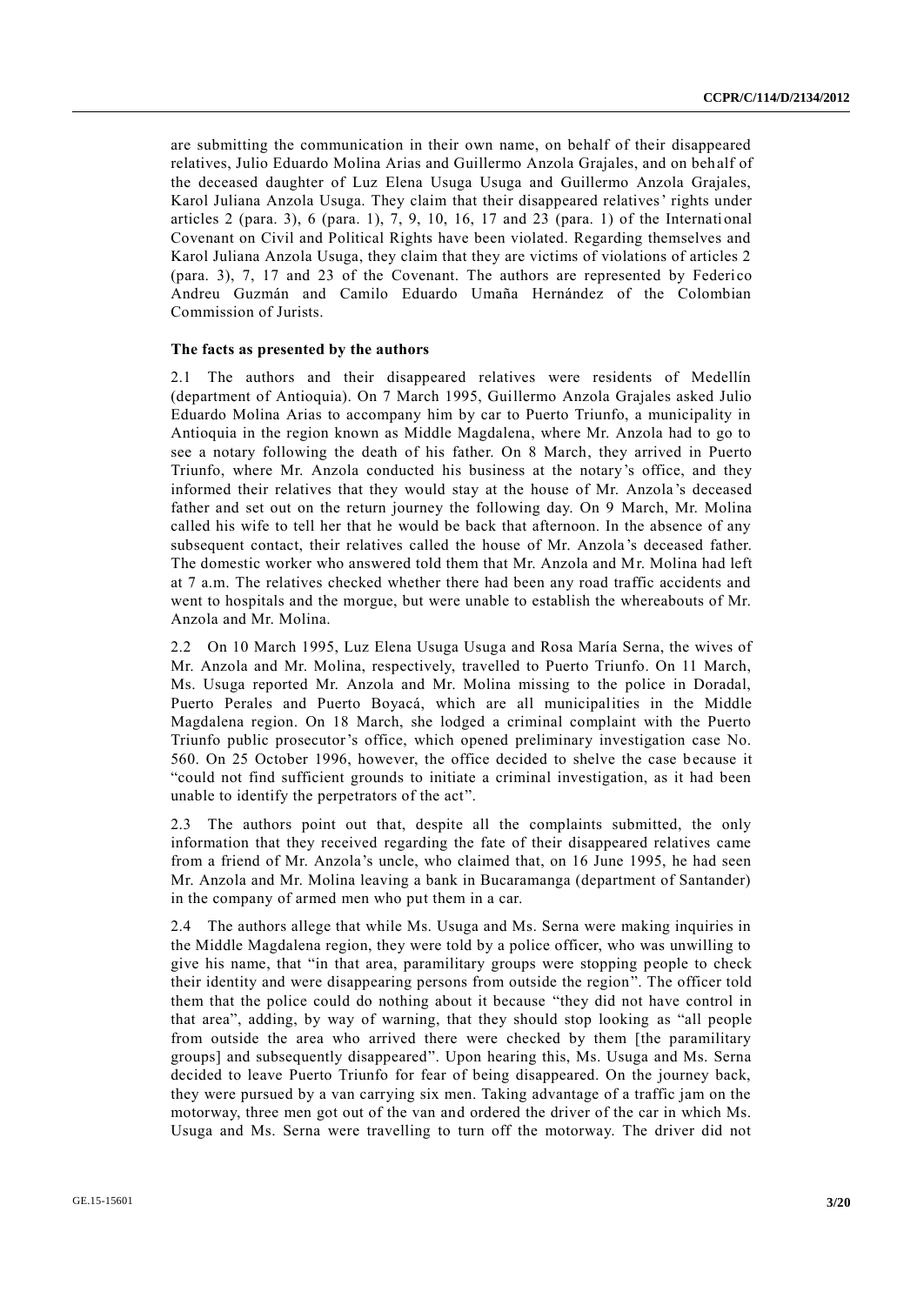are submitting the communication in their own name, on behalf of their disappeared relatives, Julio Eduardo Molina Arias and Guillermo Anzola Grajales, and on behalf of the deceased daughter of Luz Elena Usuga Usuga and Guillermo Anzola Grajales, Karol Juliana Anzola Usuga. They claim that their disappeared relatives' rights under articles 2 (para. 3), 6 (para. 1), 7, 9, 10, 16, 17 and 23 (para. 1) of the International Covenant on Civil and Political Rights have been violated. Regarding themselves and Karol Juliana Anzola Usuga, they claim that they are victims of violations of articles 2 (para. 3),  $7$ ,  $17$  and  $23$  of the Covenant. The authors are represented by Federico Andreu Guzmán and Camilo Eduardo Umaña Hernández of the Colombian Commission of Jurists.

#### **The facts as presented by the authors**

2.1 The authors and their disappeared relatives were residents of Medellín (department of Antioquia). On 7 March 1995, Guillermo Anzola Grajales asked Julio Eduardo Molina Arias to accompany him by car to Puerto Triunfo, a municipality in Antioquia in the region known as Middle Magdalena, where Mr. Anzola had to go to see a notary following the death of his father. On 8 March, they arrived in Puerto Triunfo, where Mr. Anzola conducted his business at the notary's office, and they informed their relatives that they would stay at the house of Mr. Anzola 's deceased father and set out on the return journey the following day. On 9 March, Mr. Molina called his wife to tell her that he would be back that afternoon. In the absence of any subsequent contact, their relatives called the house of Mr. Anzola's deceased father. The domestic worker who answered told them that Mr. Anzola and Mr. Molina had left at 7 a.m. The relatives checked whether there had been any road traffic accidents and went to hospitals and the morgue, but were unable to establish the whereabouts of Mr. Anzola and Mr. Molina.

2.2 On 10 March 1995, Luz Elena Usuga Usuga and Rosa María Serna, the wives of Mr. Anzola and Mr. Molina, respectively, travelled to Puerto Triunfo. On 11 March, Ms. Usuga reported Mr. Anzola and Mr. Molina missing to the police in Doradal, Puerto Perales and Puerto Boyacá, which are all municipalities in the Middle Magdalena region. On 18 March, she lodged a criminal complaint with the Puerto Triunfo public prosecutor's office, which opened preliminary investigation case No. 560. On 25 October 1996, however, the office decided to shelve the case because it "could not find sufficient grounds to initiate a criminal investigation, as it had been unable to identify the perpetrators of the act".

2.3 The authors point out that, despite all the complaints submitted, the only information that they received regarding the fate of their disappeared relatives came from a friend of Mr. Anzola's uncle, who claimed that, on 16 June 1995, he had seen Mr. Anzola and Mr. Molina leaving a bank in Bucaramanga (department of Santander) in the company of armed men who put them in a car.

2.4 The authors allege that while Ms. Usuga and Ms. Serna were making inquiries in the Middle Magdalena region, they were told by a police officer, who was unwilling to give his name, that "in that area, paramilitary groups were stopping people to check their identity and were disappearing persons from outside the region". The officer told them that the police could do nothing about it because "they did not have control in that area", adding, by way of warning, that they should stop looking as "all people from outside the area who arrived there were checked by them [the paramilitary groups] and subsequently disappeared". Upon hearing this, Ms. Usuga and Ms. Serna decided to leave Puerto Triunfo for fear of being disappeared. On the journey back, they were pursued by a van carrying six men. Taking advantage of a traffic jam on the motorway, three men got out of the van and ordered the driver of the car in which Ms. Usuga and Ms. Serna were travelling to turn off the motorway. The driver did not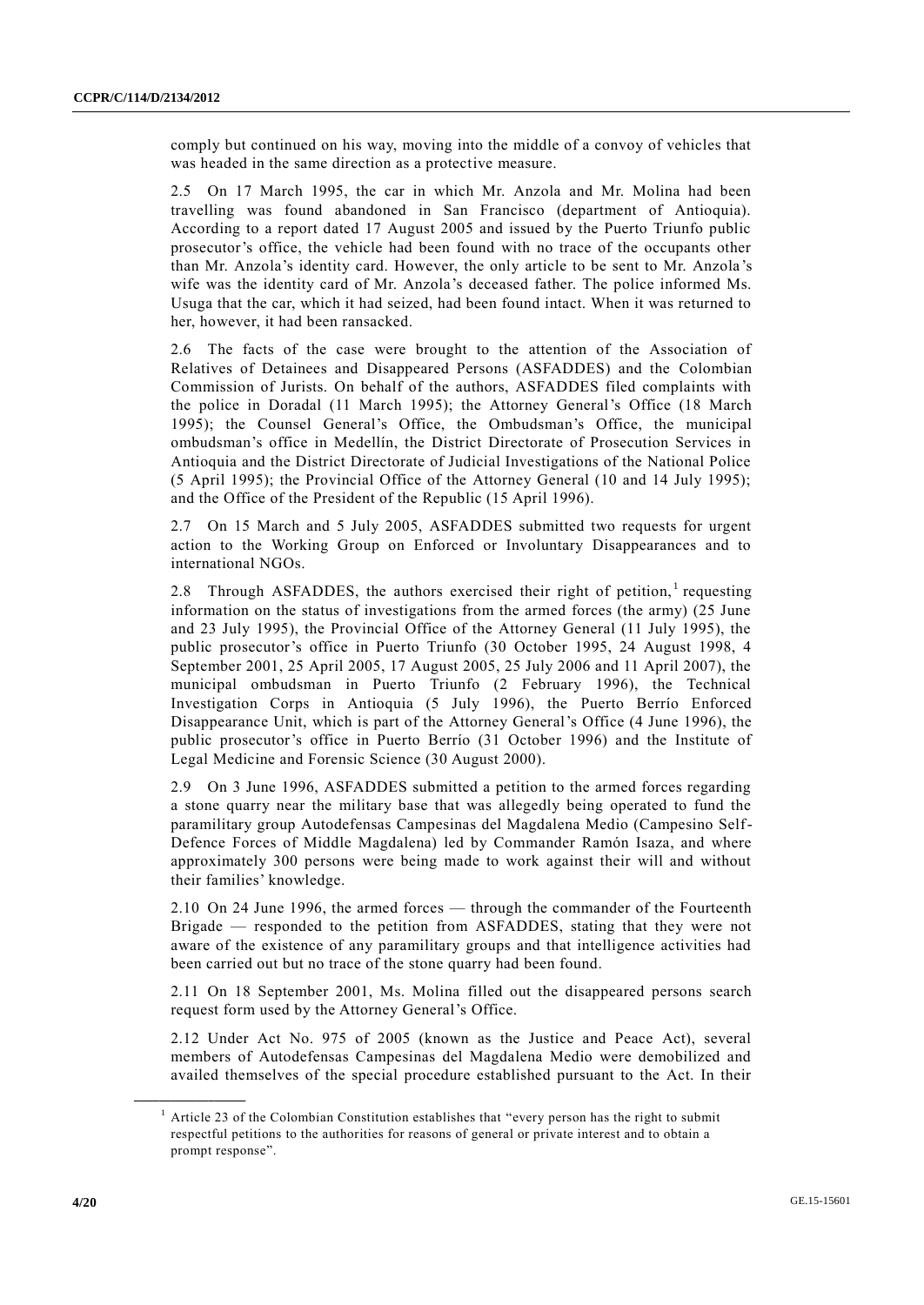comply but continued on his way, moving into the middle of a convoy of vehicles that was headed in the same direction as a protective measure.

2.5 On 17 March 1995, the car in which Mr. Anzola and Mr. Molina had been travelling was found abandoned in San Francisco (department of Antioquia). According to a report dated 17 August 2005 and issued by the Puerto Triunfo public prosecutor's office, the vehicle had been found with no trace of the occupants other than Mr. Anzola's identity card. However, the only article to be sent to Mr. Anzola 's wife was the identity card of Mr. Anzola's deceased father. The police informed Ms. Usuga that the car, which it had seized, had been found intact. When it was returned to her, however, it had been ransacked.

2.6 The facts of the case were brought to the attention of the Association of Relatives of Detainees and Disappeared Persons (ASFADDES) and the Colombian Commission of Jurists. On behalf of the authors, ASFADDES filed complaints with the police in Doradal (11 March 1995); the Attorney General's Office (18 March 1995); the Counsel General's Office, the Ombudsman's Office, the municipal ombudsman's office in Medellín, the District Directorate of Prosecution Services in Antioquia and the District Directorate of Judicial Investigations of the National Police (5 April 1995); the Provincial Office of the Attorney General (10 and 14 July 1995); and the Office of the President of the Republic (15 April 1996).

2.7 On 15 March and 5 July 2005, ASFADDES submitted two requests for urgent action to the Working Group on Enforced or Involuntary Disappearances and to international NGOs.

2.8 Through ASFADDES, the authors exercised their right of petition, requesting information on the status of investigations from the armed forces (the army) (25 June and 23 July 1995), the Provincial Office of the Attorney General (11 July 1995), the public prosecutor's office in Puerto Triunfo (30 October 1995, 24 August 1998, 4 September 2001, 25 April 2005, 17 August 2005, 25 July 2006 and 11 April 2007), the municipal ombudsman in Puerto Triunfo (2 February 1996), the Technical Investigation Corps in Antioquia (5 July 1996), the Puerto Berrío Enforced Disappearance Unit, which is part of the Attorney General's Office (4 June 1996), the public prosecutor's office in Puerto Berrío (31 October 1996) and the Institute of Legal Medicine and Forensic Science (30 August 2000).

2.9 On 3 June 1996, ASFADDES submitted a petition to the armed forces regarding a stone quarry near the military base that was allegedly being operated to fund the paramilitary group Autodefensas Campesinas del Magdalena Medio (Campesino Self-Defence Forces of Middle Magdalena) led by Commander Ramón Isaza, and where approximately 300 persons were being made to work against their will and without their families' knowledge.

2.10 On 24 June 1996, the armed forces — through the commander of the Fourteenth Brigade — responded to the petition from ASFADDES, stating that they were not aware of the existence of any paramilitary groups and that intelligence activities had been carried out but no trace of the stone quarry had been found.

2.11 On 18 September 2001, Ms. Molina filled out the disappeared persons search request form used by the Attorney General's Office.

2.12 Under Act No. 975 of 2005 (known as the Justice and Peace Act), several members of Autodefensas Campesinas del Magdalena Medio were demobilized and availed themselves of the special procedure established pursuant to the Act. In their

<sup>1</sup> Article 23 of the Colombian Constitution establishes that "every person has the right to submit respectful petitions to the authorities for reasons of general or private interest and to obtain a prompt response".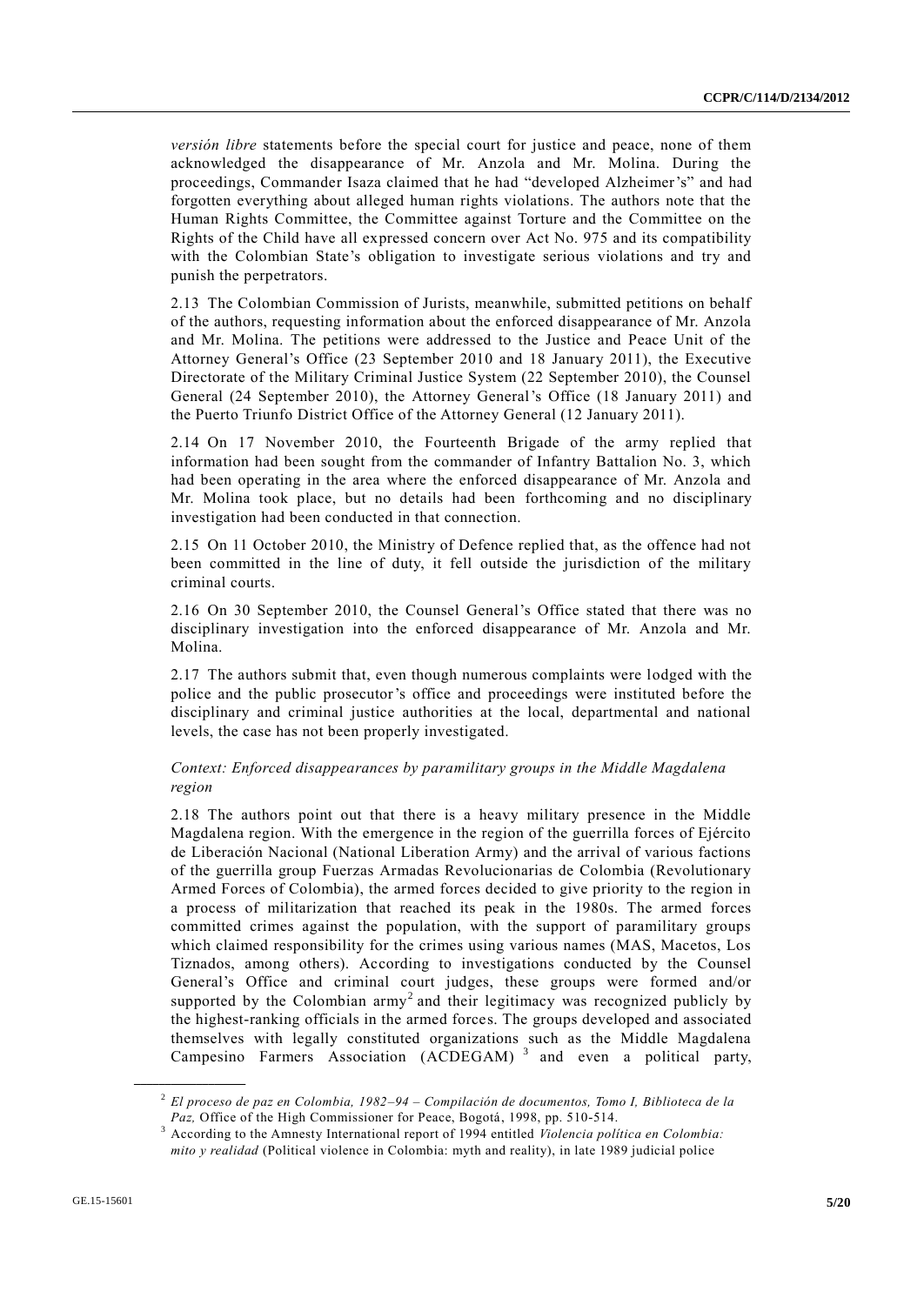*versión libre* statements before the special court for justice and peace, none of them acknowledged the disappearance of Mr. Anzola and Mr. Molina. During the proceedings, Commander Isaza claimed that he had "developed Alzheimer's" and had forgotten everything about alleged human rights violations. The authors note that the Human Rights Committee, the Committee against Torture and the Committee on the Rights of the Child have all expressed concern over Act No. 975 and its compatibility with the Colombian State's obligation to investigate serious violations and try and punish the perpetrators.

2.13 The Colombian Commission of Jurists, meanwhile, submitted petitions on behalf of the authors, requesting information about the enforced disappearance of Mr. Anzola and Mr. Molina. The petitions were addressed to the Justice and Peace Unit of the Attorney General's Office (23 September 2010 and 18 January 2011), the Executive Directorate of the Military Criminal Justice System (22 September 2010), the Counsel General (24 September 2010), the Attorney General's Office (18 January 2011) and the Puerto Triunfo District Office of the Attorney General (12 January 2011).

2.14 On 17 November 2010, the Fourteenth Brigade of the army replied that information had been sought from the commander of Infantry Battalion No. 3, which had been operating in the area where the enforced disappearance of Mr. Anzola and Mr. Molina took place, but no details had been forthcoming and no disciplinary investigation had been conducted in that connection.

2.15 On 11 October 2010, the Ministry of Defence replied that, as the offence had not been committed in the line of duty, it fell outside the jurisdiction of the military criminal courts.

2.16 On 30 September 2010, the Counsel General's Office stated that there was no disciplinary investigation into the enforced disappearance of Mr. Anzola and Mr. Molina.

2.17 The authors submit that, even though numerous complaints were lodged with the police and the public prosecutor's office and proceedings were instituted before the disciplinary and criminal justice authorities at the local, departmental and national levels, the case has not been properly investigated.

#### *Context: Enforced disappearances by paramilitary groups in the Middle Magdalena region*

2.18 The authors point out that there is a heavy military presence in the Middle Magdalena region. With the emergence in the region of the guerrilla forces of Ejército de Liberación Nacional (National Liberation Army) and the arrival of various factions of the guerrilla group Fuerzas Armadas Revolucionarias de Colombia (Revolutionary Armed Forces of Colombia), the armed forces decided to give priority to the region in a process of militarization that reached its peak in the 1980s. The armed forces committed crimes against the population, with the support of paramilitary groups which claimed responsibility for the crimes using various names (MAS, Macetos, Los Tiznados, among others). According to investigations conducted by the Counsel General's Office and criminal court judges, these groups were formed and/or supported by the Colombian  $army<sup>2</sup>$  and their legitimacy was recognized publicly by the highest-ranking officials in the armed forces. The groups developed and associated themselves with legally constituted organizations such as the Middle Magdalena Campesino Farmers Association  $(ACDEGAM)^3$  and even a political party,

<sup>2</sup> *El proceso de paz en Colombia, 1982–94 – Compilación de documentos, Tomo I, Biblioteca de la Paz,* Office of the High Commissioner for Peace, Bogotá, 1998, pp. 510-514.

<sup>3</sup> According to the Amnesty International report of 1994 entitled *Violencia política en Colombia: mito y realidad* (Political violence in Colombia: myth and reality), in late 1989 judicial police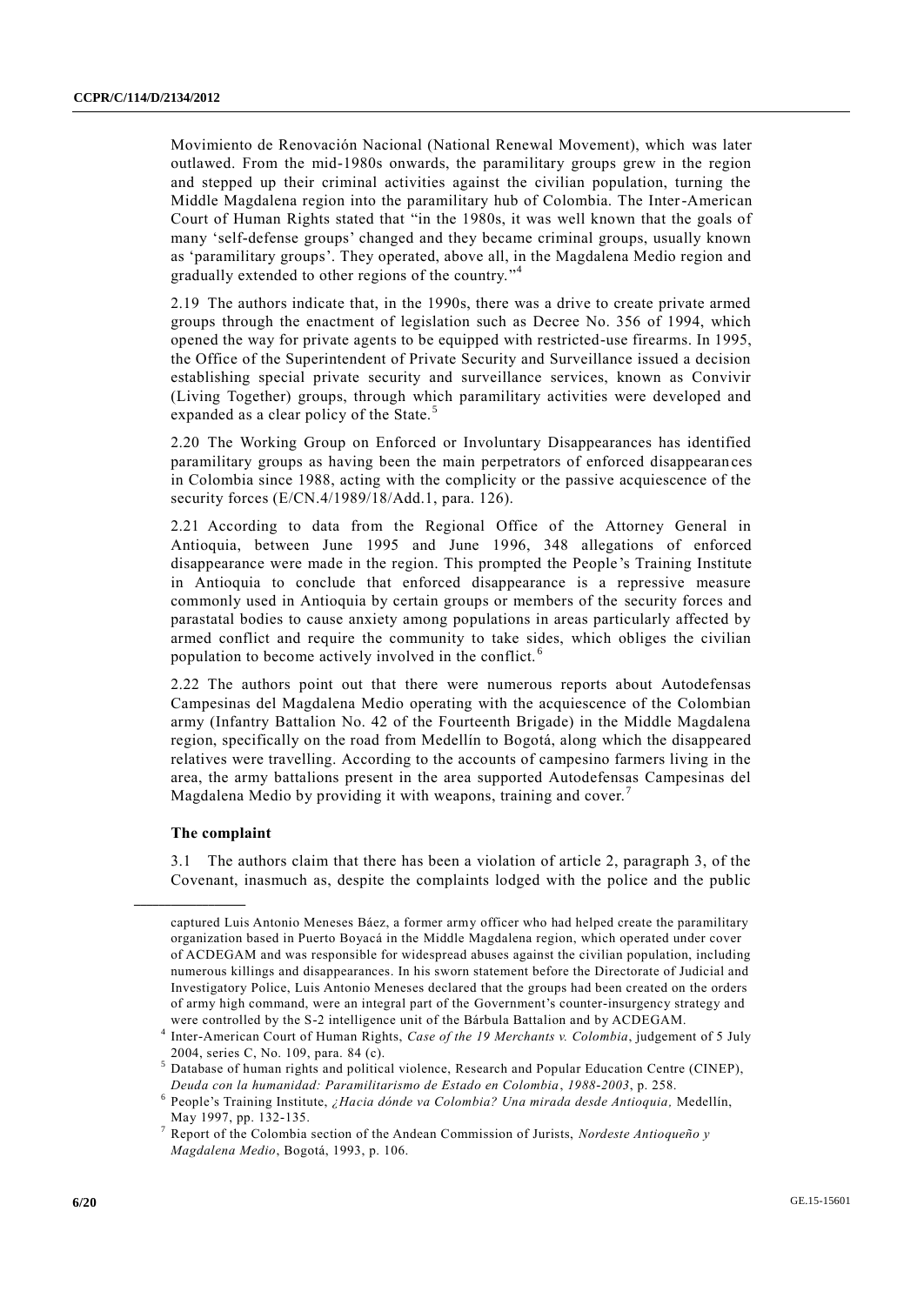Movimiento de Renovación Nacional (National Renewal Movement), which was later outlawed. From the mid-1980s onwards, the paramilitary groups grew in the region and stepped up their criminal activities against the civilian population, turning the Middle Magdalena region into the paramilitary hub of Colombia. The Inter-American Court of Human Rights stated that "in the 1980s, it was well known that the goals of many 'self-defense groups' changed and they became criminal groups, usually known as 'paramilitary groups'. They operated, above all, in the Magdalena Medio region and gradually extended to other regions of the country."<sup>4</sup>

2.19 The authors indicate that, in the 1990s, there was a drive to create private armed groups through the enactment of legislation such as Decree No. 356 of 1994, which opened the way for private agents to be equipped with restricted-use firearms. In 1995, the Office of the Superintendent of Private Security and Surveillance issued a decision establishing special private security and surveillance services, known as Convivir (Living Together) groups, through which paramilitary activities were developed and expanded as a clear policy of the State.<sup>5</sup>

2.20 The Working Group on Enforced or Involuntary Disappearances has identified paramilitary groups as having been the main perpetrators of enforced disappearan ces in Colombia since 1988, acting with the complicity or the passive acquiescence of the security forces (E/CN.4/1989/18/Add.1, para. 126).

2.21 According to data from the Regional Office of the Attorney General in Antioquia, between June 1995 and June 1996, 348 allegations of enforced disappearance were made in the region. This prompted the People 's Training Institute in Antioquia to conclude that enforced disappearance is a repressive measure commonly used in Antioquia by certain groups or members of the security forces and parastatal bodies to cause anxiety among populations in areas particularly affected by armed conflict and require the community to take sides, which obliges the civilian population to become actively involved in the conflict. <sup>6</sup>

2.22 The authors point out that there were numerous reports about Autodefensas Campesinas del Magdalena Medio operating with the acquiescence of the Colombian army (Infantry Battalion No. 42 of the Fourteenth Brigade) in the Middle Magdalena region, specifically on the road from Medellín to Bogotá, along which the disappeared relatives were travelling. According to the accounts of campesino farmers living in the area, the army battalions present in the area supported Autodefensas Campesinas del Magdalena Medio by providing it with weapons, training and cover.

#### **The complaint**

**\_\_\_\_\_\_\_\_\_\_\_\_\_\_\_\_\_\_**

3.1 The authors claim that there has been a violation of article 2, paragraph 3, of the Covenant, inasmuch as, despite the complaints lodged with the police and the public

captured Luis Antonio Meneses Báez, a former army officer who had helped create the paramilitary organization based in Puerto Boyacá in the Middle Magdalena region, which operated under cover of ACDEGAM and was responsible for widespread abuses against the civilian population, including numerous killings and disappearances. In his sworn statement before the Directorate of Judicial and Investigatory Police, Luis Antonio Meneses declared that the groups had been created on the orders of army high command, were an integral part of the Government's counter-insurgency strategy and were controlled by the S-2 intelligence unit of the Bárbula Battalion and by ACDEGAM.

<sup>4</sup> Inter-American Court of Human Rights, *Case of the 19 Merchants v. Colombia*, judgement of 5 July 2004, series C, No. 109, para. 84 (c).

<sup>&</sup>lt;sup>5</sup> Database of human rights and political violence, Research and Popular Education Centre (CINEP), *Deuda con la humanidad: Paramilitarismo de Estado en Colombia*, *1988-2003*, p. 258.

<sup>6</sup> People's Training Institute, *¿Hacia dónde va Colombia? Una mirada desde Antioquia,* Medellín, May 1997, pp. 132-135.

<sup>7</sup> Report of the Colombia section of the Andean Commission of Jurists, *Nordeste Antioqueño y Magdalena Medio*, Bogotá, 1993, p. 106.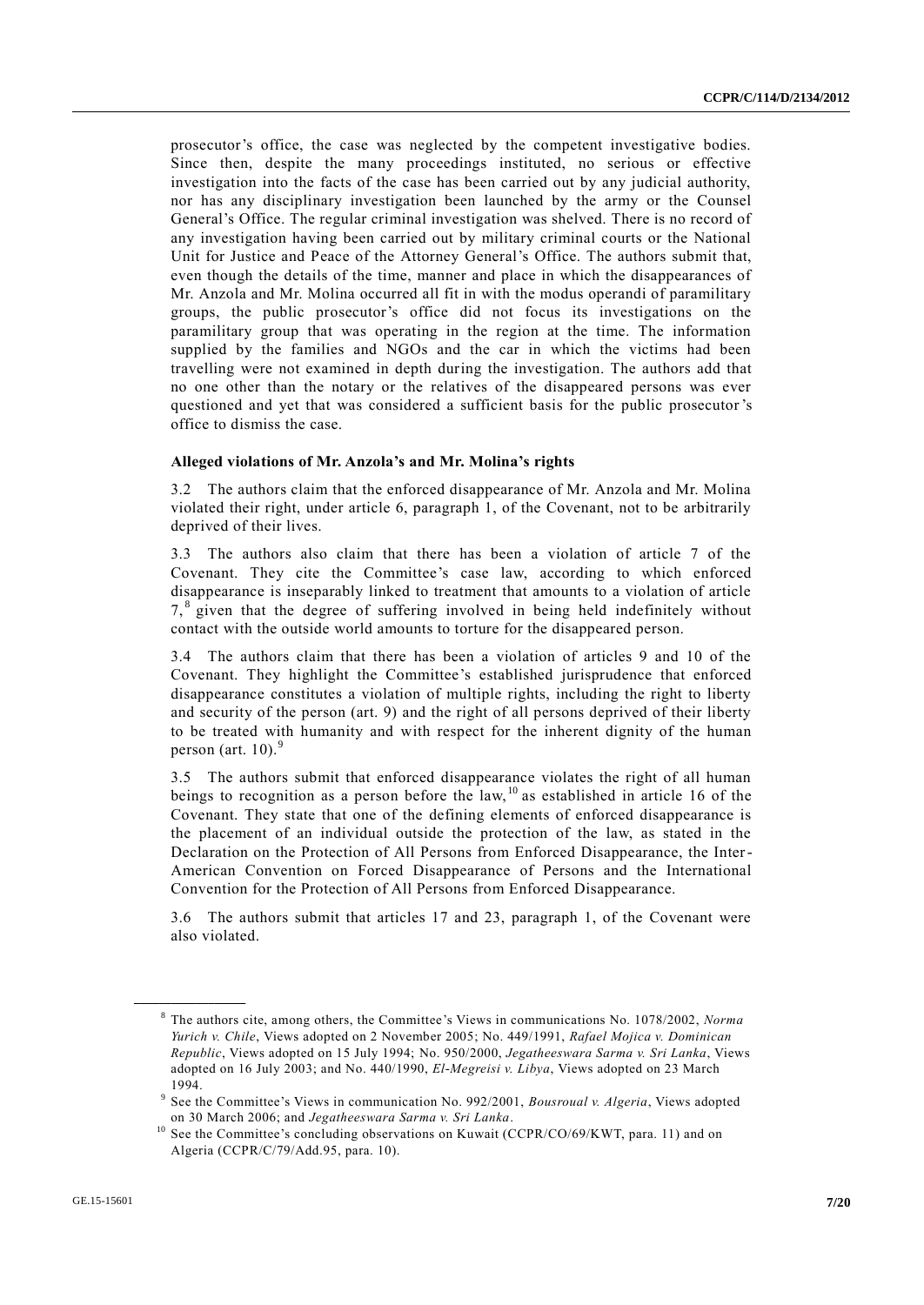prosecutor's office, the case was neglected by the competent investigative bodies. Since then, despite the many proceedings instituted, no serious or effective investigation into the facts of the case has been carried out by any judicial authority, nor has any disciplinary investigation been launched by the army or the Counsel General's Office. The regular criminal investigation was shelved. There is no record of any investigation having been carried out by military criminal courts or the National Unit for Justice and Peace of the Attorney General's Office. The authors submit that, even though the details of the time, manner and place in which the disappearances of Mr. Anzola and Mr. Molina occurred all fit in with the modus operandi of paramilitary groups, the public prosecutor's office did not focus its investigations on the paramilitary group that was operating in the region at the time. The information supplied by the families and NGOs and the car in which the victims had been travelling were not examined in depth during the investigation. The authors add that no one other than the notary or the relatives of the disappeared persons was ever questioned and yet that was considered a sufficient basis for the public prosecutor 's office to dismiss the case.

#### **Alleged violations of Mr. Anzola's and Mr. Molina's rights**

3.2 The authors claim that the enforced disappearance of Mr. Anzola and Mr. Molina violated their right, under article 6, paragraph 1, of the Covenant, not to be arbitrarily deprived of their lives.

3.3 The authors also claim that there has been a violation of article 7 of the Covenant. They cite the Committee's case law, according to which enforced disappearance is inseparably linked to treatment that amounts to a violation of article 7,<sup>8</sup> given that the degree of suffering involved in being held indefinitely without contact with the outside world amounts to torture for the disappeared person.

3.4 The authors claim that there has been a violation of articles 9 and 10 of the Covenant. They highlight the Committee's established jurisprudence that enforced disappearance constitutes a violation of multiple rights, including the right to liberty and security of the person (art. 9) and the right of all persons deprived of their liberty to be treated with humanity and with respect for the inherent dignity of the human person (art. 10). $9$ 

3.5 The authors submit that enforced disappearance violates the right of all human beings to recognition as a person before the law, <sup>10</sup> as established in article 16 of the Covenant. They state that one of the defining elements of enforced disappearance is the placement of an individual outside the protection of the law, as stated in the Declaration on the Protection of All Persons from Enforced Disappearance, the Inter-American Convention on Forced Disappearance of Persons and the International Convention for the Protection of All Persons from Enforced Disappearance.

3.6 The authors submit that articles 17 and 23, paragraph 1, of the Covenant were also violated.

<sup>8</sup> The authors cite, among others, the Committee's Views in communications No. 1078/2002, *Norma Yurich v. Chile*, Views adopted on 2 November 2005; No. 449/1991, *Rafael Mojica v. Dominican Republic*, Views adopted on 15 July 1994; No. 950/2000, *Jegatheeswara Sarma v. Sri Lanka*, Views adopted on 16 July 2003; and No. 440/1990, *El-Megreisi v. Libya*, Views adopted on 23 March 1994.

<sup>9</sup> See the Committee's Views in communication No. 992/2001, *Bousroual v. Algeria*, Views adopted on 30 March 2006; and *Jegatheeswara Sarma v. Sri Lanka*.

<sup>&</sup>lt;sup>10</sup> See the Committee's concluding observations on Kuwait (CCPR/CO/69/KWT, para. 11) and on Algeria (CCPR/C/79/Add.95, para. 10).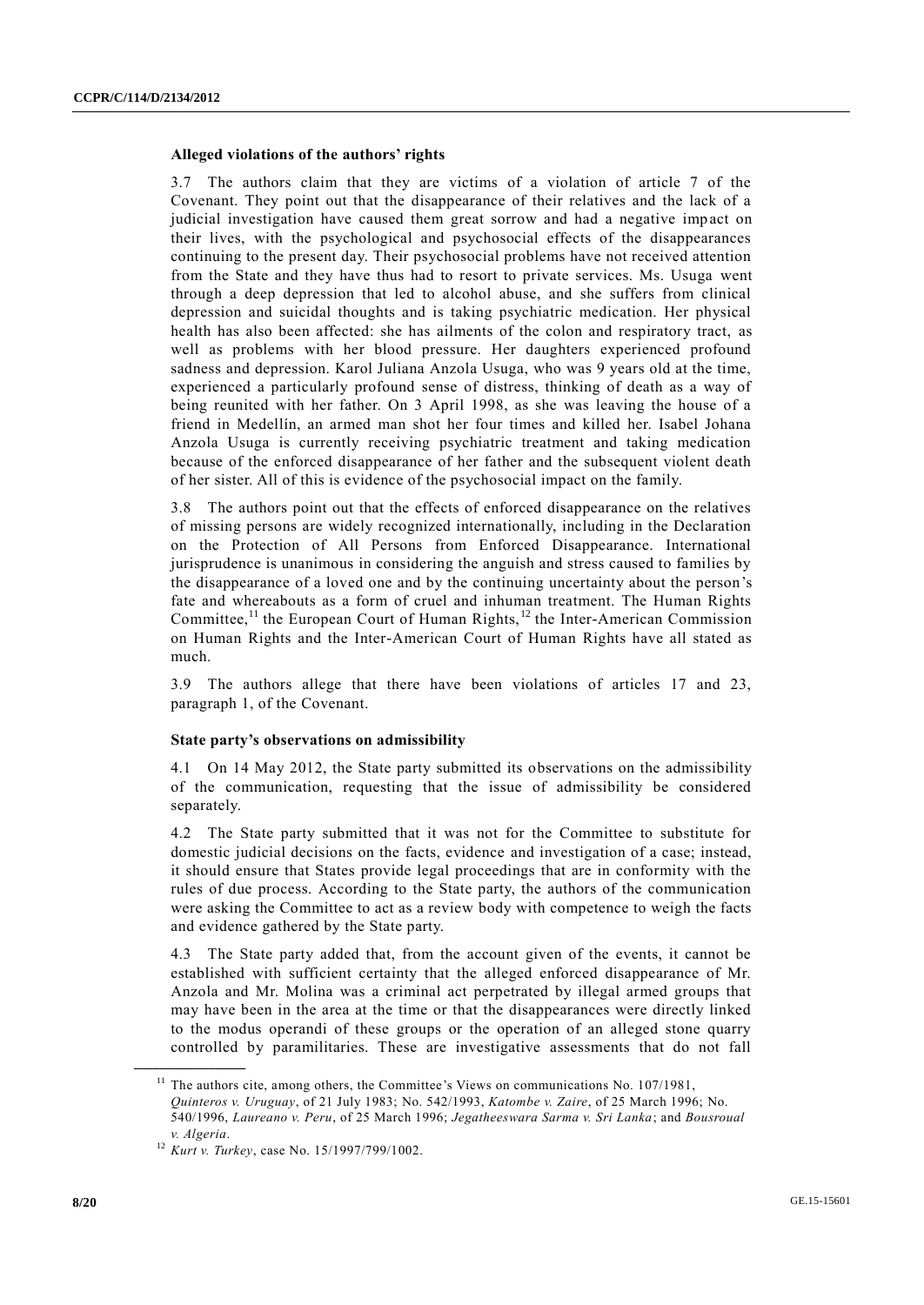#### **Alleged violations of the authors' rights**

3.7 The authors claim that they are victims of a violation of article 7 of the Covenant. They point out that the disappearance of their relatives and the lack of a judicial investigation have caused them great sorrow and had a negative impact on their lives, with the psychological and psychosocial effects of the disappearances continuing to the present day. Their psychosocial problems have not received attention from the State and they have thus had to resort to private services. Ms. Usuga went through a deep depression that led to alcohol abuse, and she suffers from clinical depression and suicidal thoughts and is taking psychiatric medication. Her physical health has also been affected: she has ailments of the colon and respiratory tract, as well as problems with her blood pressure. Her daughters experienced profound sadness and depression. Karol Juliana Anzola Usuga, who was 9 years old at the time, experienced a particularly profound sense of distress, thinking of death as a way of being reunited with her father. On 3 April 1998, as she was leaving the house of a friend in Medellín, an armed man shot her four times and killed her. Isabel Johana Anzola Usuga is currently receiving psychiatric treatment and taking medication because of the enforced disappearance of her father and the subsequent violent death of her sister. All of this is evidence of the psychosocial impact on the family.

3.8 The authors point out that the effects of enforced disappearance on the relatives of missing persons are widely recognized internationally, including in the Declaration on the Protection of All Persons from Enforced Disappearance. International jurisprudence is unanimous in considering the anguish and stress caused to families by the disappearance of a loved one and by the continuing uncertainty about the person's fate and whereabouts as a form of cruel and inhuman treatment. The Human Rights Committee,<sup>11</sup> the European Court of Human Rights,  $12$  the Inter-American Commission on Human Rights and the Inter-American Court of Human Rights have all stated as much.

3.9 The authors allege that there have been violations of articles 17 and 23, paragraph 1, of the Covenant.

#### **State party's observations on admissibility**

4.1 On 14 May 2012, the State party submitted its observations on the admissibility of the communication, requesting that the issue of admissibility be considered separately.

4.2 The State party submitted that it was not for the Committee to substitute for domestic judicial decisions on the facts, evidence and investigation of a case; instead, it should ensure that States provide legal proceedings that are in conformity with the rules of due process. According to the State party, the authors of the communication were asking the Committee to act as a review body with competence to weigh the facts and evidence gathered by the State party.

4.3 The State party added that, from the account given of the events, it cannot be established with sufficient certainty that the alleged enforced disappearance of Mr. Anzola and Mr. Molina was a criminal act perpetrated by illegal armed groups that may have been in the area at the time or that the disappearances were directly linked to the modus operandi of these groups or the operation of an alleged stone quarry controlled by paramilitaries. These are investigative assessments that do not fall

 $11$  The authors cite, among others, the Committee's Views on communications No. 107/1981,

*Quinteros v. Uruguay*, of 21 July 1983; No. 542/1993, *Katombe v. Zaire*, of 25 March 1996; No. 540/1996, *Laureano v. Peru*, of 25 March 1996; *Jegatheeswara Sarma v. Sri Lanka*; and *Bousroual v. Algeria*.

<sup>12</sup> *Kurt v. Turkey*, case No. 15/1997/799/1002.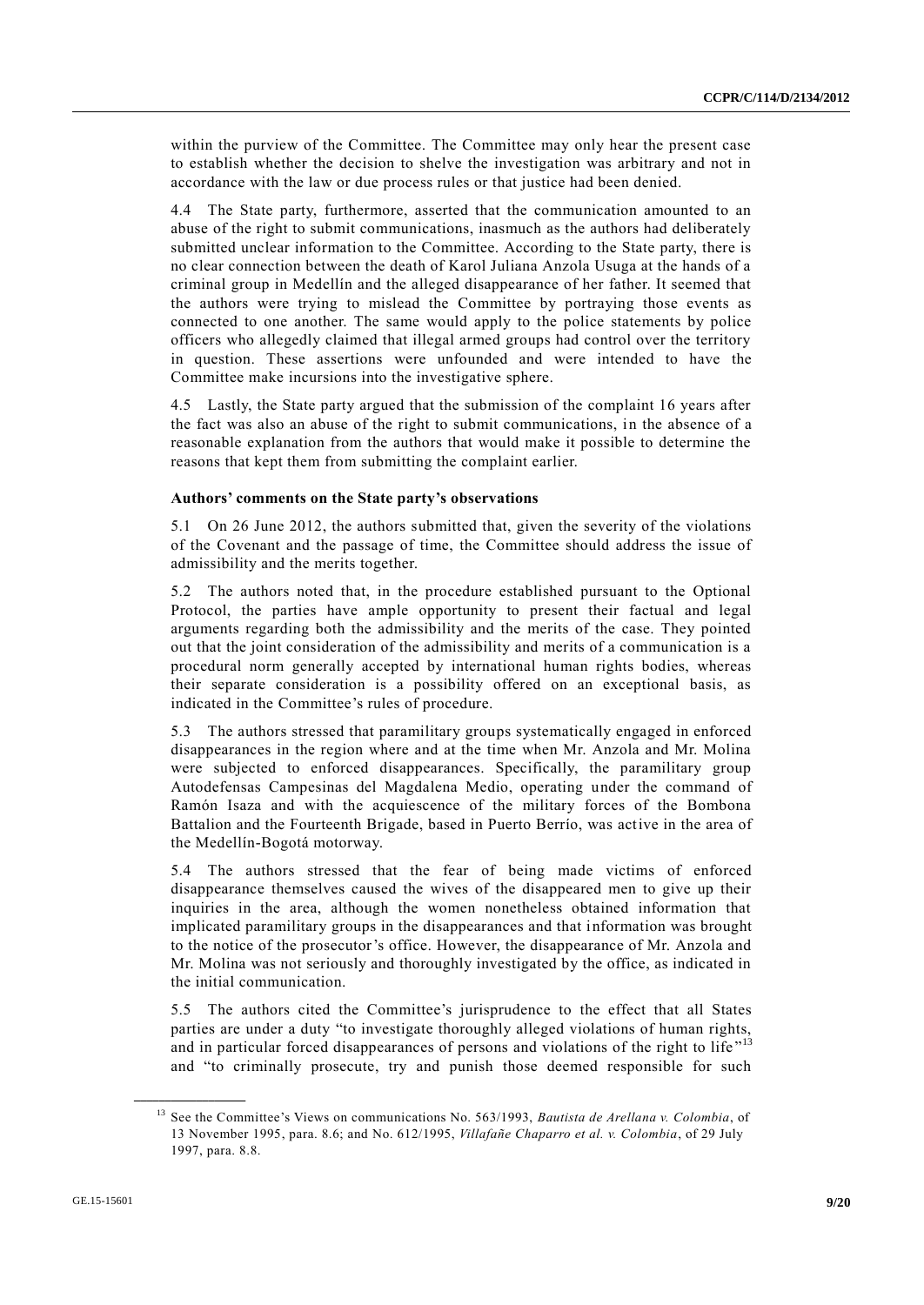within the purview of the Committee. The Committee may only hear the present case to establish whether the decision to shelve the investigation was arbitrary and not in accordance with the law or due process rules or that justice had been denied.

4.4 The State party, furthermore, asserted that the communication amounted to an abuse of the right to submit communications, inasmuch as the authors had deliberately submitted unclear information to the Committee. According to the State party, there is no clear connection between the death of Karol Juliana Anzola Usuga at the hands of a criminal group in Medellín and the alleged disappearance of her father. It seemed that the authors were trying to mislead the Committee by portraying those events as connected to one another. The same would apply to the police statements by police officers who allegedly claimed that illegal armed groups had control over the territory in question. These assertions were unfounded and were intended to have the Committee make incursions into the investigative sphere.

4.5 Lastly, the State party argued that the submission of the complaint 16 years after the fact was also an abuse of the right to submit communications, in the absence of a reasonable explanation from the authors that would make it possible to determine the reasons that kept them from submitting the complaint earlier.

#### **Authors' comments on the State party's observations**

5.1 On 26 June 2012, the authors submitted that, given the severity of the violations of the Covenant and the passage of time, the Committee should address the issue of admissibility and the merits together.

5.2 The authors noted that, in the procedure established pursuant to the Optional Protocol, the parties have ample opportunity to present their factual and legal arguments regarding both the admissibility and the merits of the case. They pointed out that the joint consideration of the admissibility and merits of a communication is a procedural norm generally accepted by international human rights bodies, whereas their separate consideration is a possibility offered on an exceptional basis, as indicated in the Committee's rules of procedure.

5.3 The authors stressed that paramilitary groups systematically engaged in enforced disappearances in the region where and at the time when Mr. Anzola and Mr. Molina were subjected to enforced disappearances. Specifically, the paramilitary group Autodefensas Campesinas del Magdalena Medio, operating under the command of Ramón Isaza and with the acquiescence of the military forces of the Bombona Battalion and the Fourteenth Brigade, based in Puerto Berrío, was active in the area of the Medellín-Bogotá motorway.

5.4 The authors stressed that the fear of being made victims of enforced disappearance themselves caused the wives of the disappeared men to give up their inquiries in the area, although the women nonetheless obtained information that implicated paramilitary groups in the disappearances and that information was brought to the notice of the prosecutor's office. However, the disappearance of Mr. Anzola and Mr. Molina was not seriously and thoroughly investigated by the office, as indicated in the initial communication.

5.5 The authors cited the Committee's jurisprudence to the effect that all States parties are under a duty "to investigate thoroughly alleged violations of human rights, and in particular forced disappearances of persons and violations of the right to life"<sup>13</sup> and "to criminally prosecute, try and punish those deemed responsible for such

<sup>13</sup> See the Committee's Views on communications No. 563/1993, *Bautista de Arellana v. Colombia*, of 13 November 1995, para. 8.6; and No. 612/1995, *Villafañe Chaparro et al. v. Colombia*, of 29 July 1997, para. 8.8.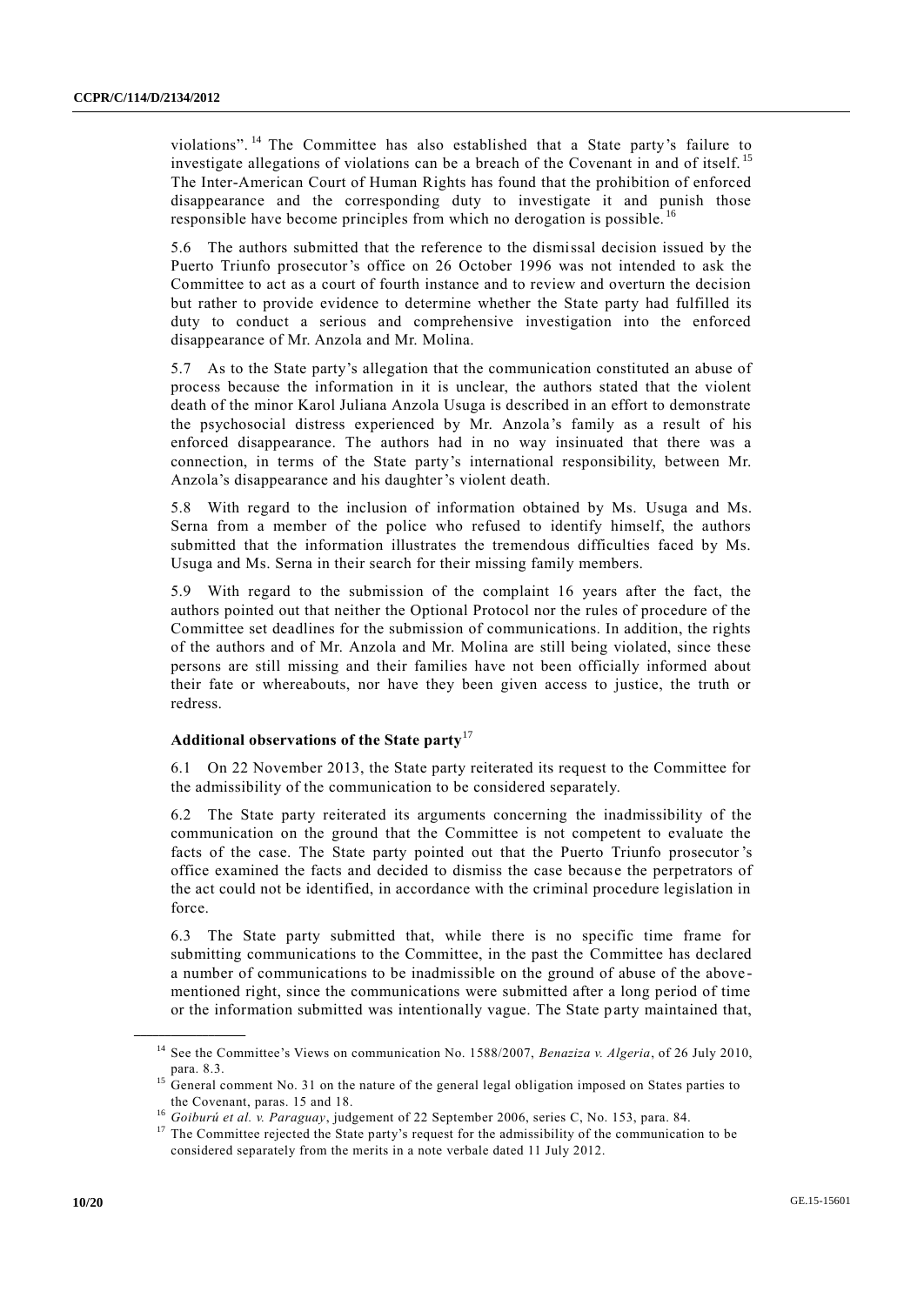violations". <sup>14</sup> The Committee has also established that a State party's failure to investigate allegations of violations can be a breach of the Covenant in and of itself. <sup>15</sup> The Inter-American Court of Human Rights has found that the prohibition of enforced disappearance and the corresponding duty to investigate it and punish those responsible have become principles from which no derogation is possible. <sup>16</sup>

5.6 The authors submitted that the reference to the dismissal decision issued by the Puerto Triunfo prosecutor's office on 26 October 1996 was not intended to ask the Committee to act as a court of fourth instance and to review and overturn the decision but rather to provide evidence to determine whether the State party had fulfilled its duty to conduct a serious and comprehensive investigation into the enforced disappearance of Mr. Anzola and Mr. Molina.

5.7 As to the State party's allegation that the communication constituted an abuse of process because the information in it is unclear, the authors stated that the violent death of the minor Karol Juliana Anzola Usuga is described in an effort to demonstrate the psychosocial distress experienced by Mr. Anzola's family as a result of his enforced disappearance. The authors had in no way insinuated that there was a connection, in terms of the State party's international responsibility, between Mr. Anzola's disappearance and his daughter's violent death.

5.8 With regard to the inclusion of information obtained by Ms. Usuga and Ms. Serna from a member of the police who refused to identify himself, the authors submitted that the information illustrates the tremendous difficulties faced by Ms. Usuga and Ms. Serna in their search for their missing family members.

With regard to the submission of the complaint 16 years after the fact, the authors pointed out that neither the Optional Protocol nor the rules of procedure of the Committee set deadlines for the submission of communications. In addition, the rights of the authors and of Mr. Anzola and Mr. Molina are still being violated, since these persons are still missing and their families have not been officially informed about their fate or whereabouts, nor have they been given access to justice, the truth or redress.

#### **Additional observations of the State party**<sup>17</sup>

6.1 On 22 November 2013, the State party reiterated its request to the Committee for the admissibility of the communication to be considered separately.

6.2 The State party reiterated its arguments concerning the inadmissibility of the communication on the ground that the Committee is not competent to evaluate the facts of the case. The State party pointed out that the Puerto Triunfo prosecutor 's office examined the facts and decided to dismiss the case because the perpetrators of the act could not be identified, in accordance with the criminal procedure legislation in force.

6.3 The State party submitted that, while there is no specific time frame for submitting communications to the Committee, in the past the Committee has declared a number of communications to be inadmissible on the ground of abuse of the above mentioned right, since the communications were submitted after a long period of time or the information submitted was intentionally vague. The State party maintained that,

<sup>14</sup> See the Committee's Views on communication No. 1588/2007, *Benaziza v. Algeria*, of 26 July 2010, para. 8.3.

<sup>&</sup>lt;sup>15</sup> General comment No. 31 on the nature of the general legal obligation imposed on States parties to the Covenant, paras. 15 and 18.

<sup>16</sup> *Goiburú et al. v. Paraguay*, judgement of 22 September 2006, series C, No. 153, para. 84.

<sup>&</sup>lt;sup>17</sup> The Committee rejected the State party's request for the admissibility of the communication to be considered separately from the merits in a note verbale dated 11 July 2012.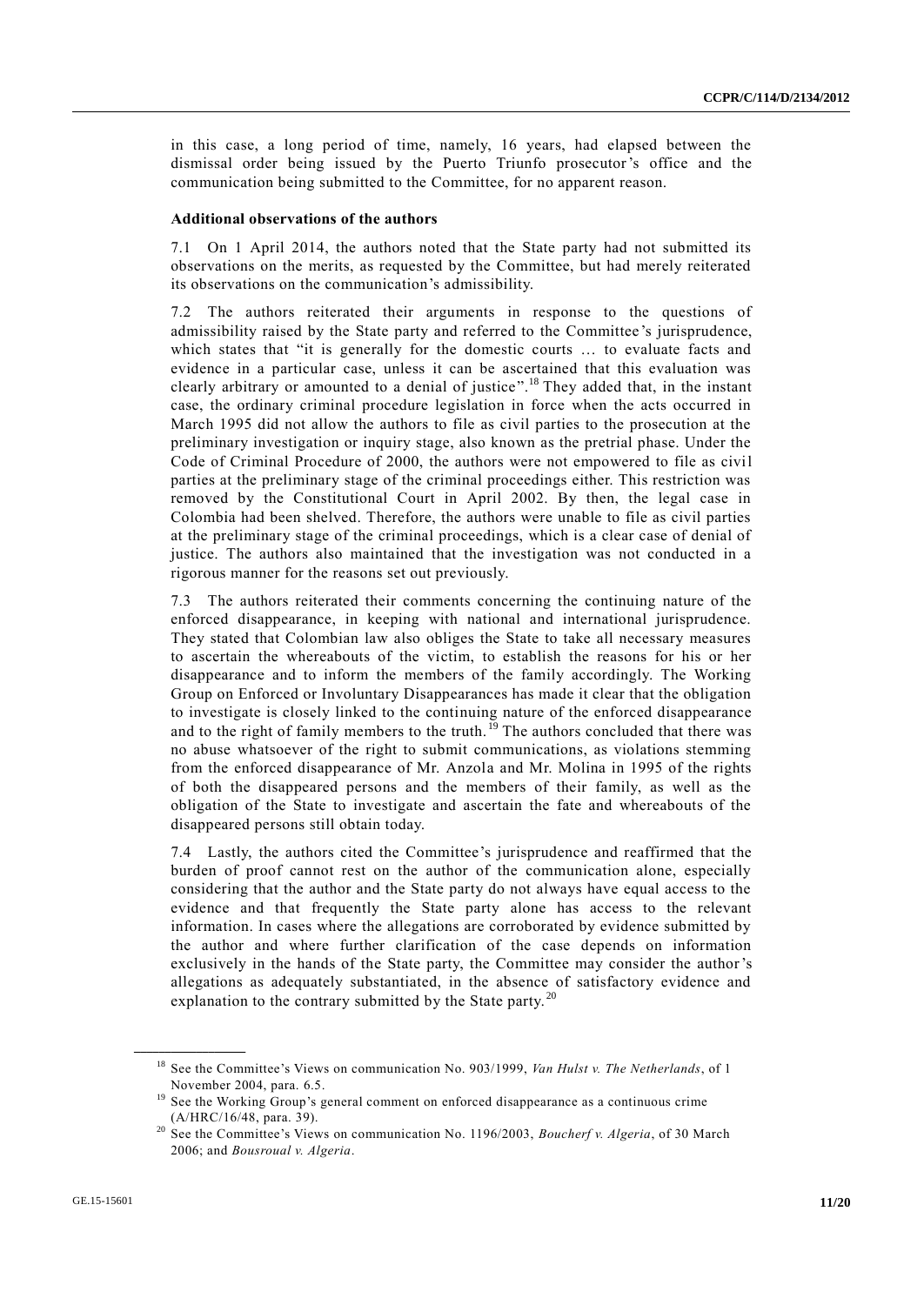in this case, a long period of time, namely, 16 years, had elapsed between the dismissal order being issued by the Puerto Triunfo prosecutor's office and the communication being submitted to the Committee, for no apparent reason.

#### **Additional observations of the authors**

7.1 On 1 April 2014, the authors noted that the State party had not submitted its observations on the merits, as requested by the Committee, but had merely reiterated its observations on the communication's admissibility.

The authors reiterated their arguments in response to the questions of admissibility raised by the State party and referred to the Committee 's jurisprudence, which states that "it is generally for the domestic courts ... to evaluate facts and evidence in a particular case, unless it can be ascertained that this evaluation was clearly arbitrary or amounted to a denial of justice".<sup>18</sup> They added that, in the instant case, the ordinary criminal procedure legislation in force when the acts occurred in March 1995 did not allow the authors to file as civil parties to the prosecution at the preliminary investigation or inquiry stage, also known as the pretrial phase. Under the Code of Criminal Procedure of 2000, the authors were not empowered to file as civil parties at the preliminary stage of the criminal proceedings either. This restriction was removed by the Constitutional Court in April 2002. By then, the legal case in Colombia had been shelved. Therefore, the authors were unable to file as civil parties at the preliminary stage of the criminal proceedings, which is a clear case of denial of justice. The authors also maintained that the investigation was not conducted in a rigorous manner for the reasons set out previously.

7.3 The authors reiterated their comments concerning the continuing nature of the enforced disappearance, in keeping with national and international jurisprudence. They stated that Colombian law also obliges the State to take all necessary measures to ascertain the whereabouts of the victim, to establish the reasons for his or her disappearance and to inform the members of the family accordingly. The Working Group on Enforced or Involuntary Disappearances has made it clear that the obligation to investigate is closely linked to the continuing nature of the enforced disappearance and to the right of family members to the truth.<sup>19</sup> The authors concluded that there was no abuse whatsoever of the right to submit communications, as violations stemming from the enforced disappearance of Mr. Anzola and Mr. Molina in 1995 of the rights of both the disappeared persons and the members of their family, as well as the obligation of the State to investigate and ascertain the fate and whereabouts of the disappeared persons still obtain today.

7.4 Lastly, the authors cited the Committee's jurisprudence and reaffirmed that the burden of proof cannot rest on the author of the communication alone, especially considering that the author and the State party do not always have equal access to the evidence and that frequently the State party alone has access to the relevant information. In cases where the allegations are corroborated by evidence submitted by the author and where further clarification of the case depends on information exclusively in the hands of the State party, the Committee may consider the author's allegations as adequately substantiated, in the absence of satisfactory evidence and explanation to the contrary submitted by the State party. $^{20}$ 

<sup>18</sup> See the Committee's Views on communication No. 903/1999, *Van Hulst v. The Netherlands*, of 1 November 2004, para. 6.5.

<sup>&</sup>lt;sup>19</sup> See the Working Group's general comment on enforced disappearance as a continuous crime (A/HRC/16/48, para. 39).

<sup>&</sup>lt;sup>20</sup> See the Committee's Views on communication No. 1196/2003, *Boucherf v. Algeria*, of 30 March 2006; and *Bousroual v. Algeria*.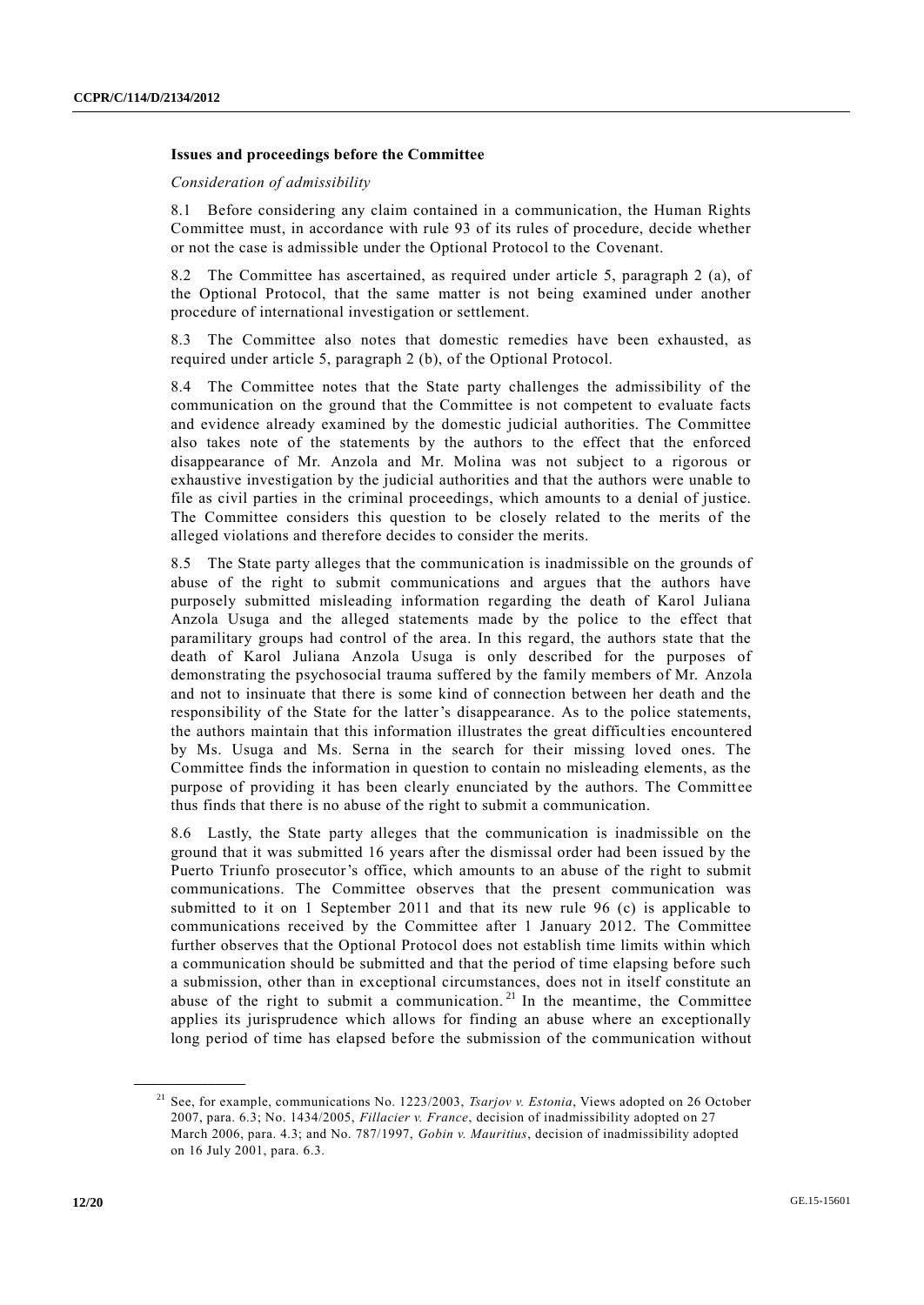#### **Issues and proceedings before the Committee**

*Consideration of admissibility*

8.1 Before considering any claim contained in a communication, the Human Rights Committee must, in accordance with rule 93 of its rules of procedure, decide whether or not the case is admissible under the Optional Protocol to the Covenant.

8.2 The Committee has ascertained, as required under article 5, paragraph 2 (a), of the Optional Protocol, that the same matter is not being examined under another procedure of international investigation or settlement.

8.3 The Committee also notes that domestic remedies have been exhausted, as required under article 5, paragraph 2 (b), of the Optional Protocol.

8.4 The Committee notes that the State party challenges the admissibility of the communication on the ground that the Committee is not competent to evaluate facts and evidence already examined by the domestic judicial authorities. The Committee also takes note of the statements by the authors to the effect that the enforced disappearance of Mr. Anzola and Mr. Molina was not subject to a rigorous or exhaustive investigation by the judicial authorities and that the authors were unable to file as civil parties in the criminal proceedings, which amounts to a denial of justice. The Committee considers this question to be closely related to the merits of the alleged violations and therefore decides to consider the merits.

8.5 The State party alleges that the communication is inadmissible on the grounds of abuse of the right to submit communications and argues that the authors have purposely submitted misleading information regarding the death of Karol Juliana Anzola Usuga and the alleged statements made by the police to the effect that paramilitary groups had control of the area. In this regard, the authors state that the death of Karol Juliana Anzola Usuga is only described for the purposes of demonstrating the psychosocial trauma suffered by the family members of Mr. Anzola and not to insinuate that there is some kind of connection between her death and the responsibility of the State for the latter's disappearance. As to the police statements, the authors maintain that this information illustrates the great difficulties encountered by Ms. Usuga and Ms. Serna in the search for their missing loved ones. The Committee finds the information in question to contain no misleading elements, as the purpose of providing it has been clearly enunciated by the authors. The Committee thus finds that there is no abuse of the right to submit a communication.

8.6 Lastly, the State party alleges that the communication is inadmissible on the ground that it was submitted 16 years after the dismissal order had been issued by the Puerto Triunfo prosecutor's office, which amounts to an abuse of the right to submit communications. The Committee observes that the present communication was submitted to it on 1 September 2011 and that its new rule 96 (c) is applicable to communications received by the Committee after 1 January 2012. The Committee further observes that the Optional Protocol does not establish time limits within which a communication should be submitted and that the period of time elapsing before such a submission, other than in exceptional circumstances, does not in itself constitute an abuse of the right to submit a communication.<sup>21</sup> In the meantime, the Committee applies its jurisprudence which allows for finding an abuse where an exceptionally long period of time has elapsed before the submission of the communication without

<sup>21</sup> See, for example, communications No. 1223/2003, *Tsarjov v. Estonia*, Views adopted on 26 October 2007, para. 6.3; No. 1434/2005, *Fillacier v. France*, decision of inadmissibility adopted on 27 March 2006, para. 4.3; and No. 787/1997, *Gobin v. Mauritius*, decision of inadmissibility adopted on 16 July 2001, para. 6.3.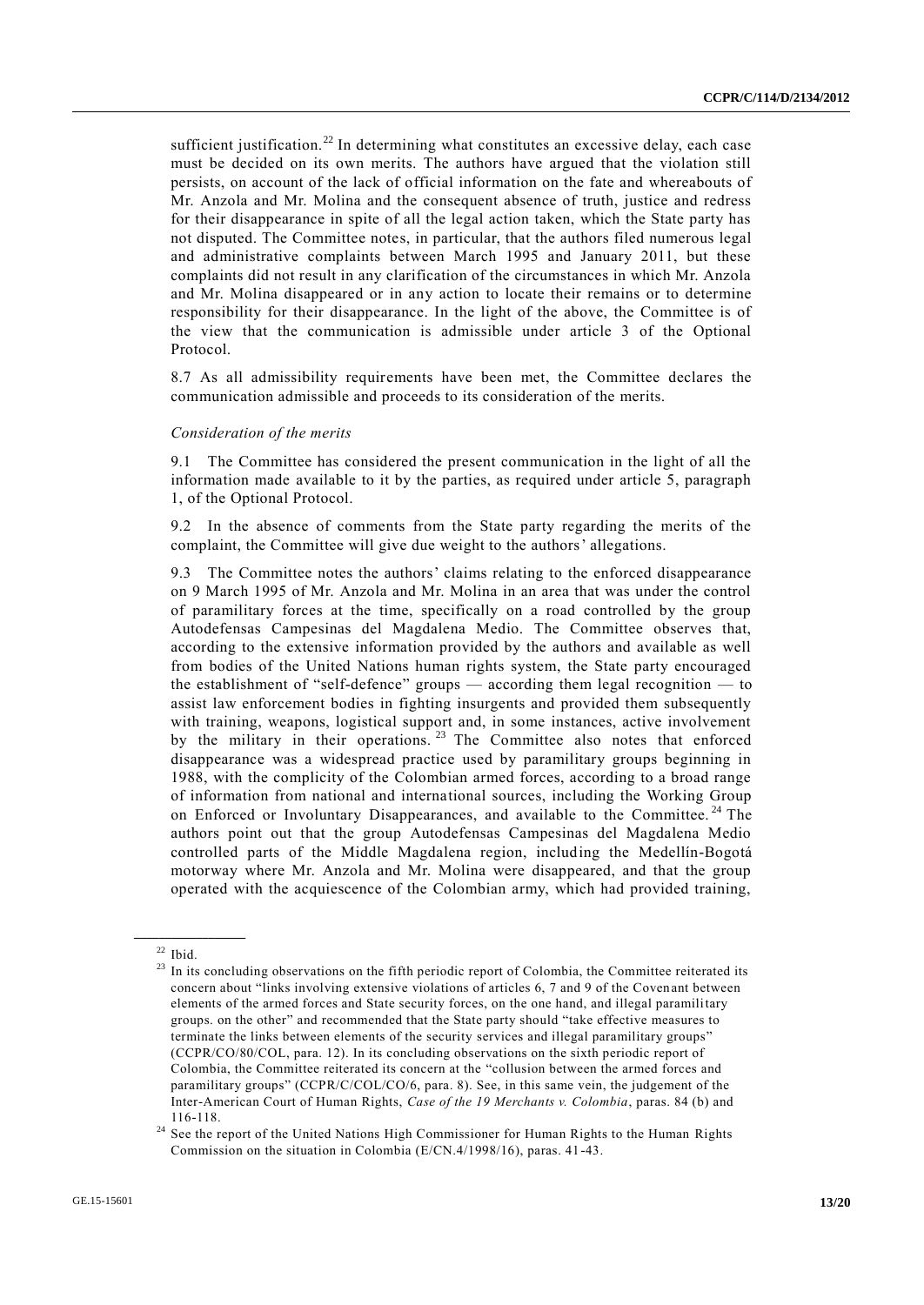sufficient justification.<sup>22</sup> In determining what constitutes an excessive delay, each case must be decided on its own merits. The authors have argued that the violation still persists, on account of the lack of official information on the fate and whereabouts of Mr. Anzola and Mr. Molina and the consequent absence of truth, justice and redress for their disappearance in spite of all the legal action taken, which the State party has not disputed. The Committee notes, in particular, that the authors filed numerous legal and administrative complaints between March 1995 and January 2011, but these complaints did not result in any clarification of the circumstances in which Mr. Anzola and Mr. Molina disappeared or in any action to locate their remains or to determine responsibility for their disappearance. In the light of the above, the Committee is of the view that the communication is admissible under article 3 of the Optional Protocol.

8.7 As all admissibility requirements have been met, the Committee declares the communication admissible and proceeds to its consideration of the merits.

#### *Consideration of the merits*

9.1 The Committee has considered the present communication in the light of all the information made available to it by the parties, as required under article 5, paragraph 1, of the Optional Protocol.

9.2 In the absence of comments from the State party regarding the merits of the complaint, the Committee will give due weight to the authors' allegations.

9.3 The Committee notes the authors' claims relating to the enforced disappearance on 9 March 1995 of Mr. Anzola and Mr. Molina in an area that was under the control of paramilitary forces at the time, specifically on a road controlled by the group Autodefensas Campesinas del Magdalena Medio. The Committee observes that, according to the extensive information provided by the authors and available as well from bodies of the United Nations human rights system, the State party encouraged the establishment of "self-defence" groups — according them legal recognition — to assist law enforcement bodies in fighting insurgents and provided them subsequently with training, weapons, logistical support and, in some instances, active involvement by the military in their operations.<sup>23</sup> The Committee also notes that enforced disappearance was a widespread practice used by paramilitary groups beginning in 1988, with the complicity of the Colombian armed forces, according to a broad range of information from national and international sources, including the Working Group on Enforced or Involuntary Disappearances, and available to the Committee.<sup>24</sup> The authors point out that the group Autodefensas Campesinas del Magdalena Medio controlled parts of the Middle Magdalena region, including the Medellín-Bogotá motorway where Mr. Anzola and Mr. Molina were disappeared, and that the group operated with the acquiescence of the Colombian army, which had provided training,

 $22$  Ibid.

<sup>&</sup>lt;sup>23</sup> In its concluding observations on the fifth periodic report of Colombia, the Committee reiterated its concern about "links involving extensive violations of articles 6, 7 and 9 of the Covenant between elements of the armed forces and State security forces, on the one hand, and illegal paramilitary groups. on the other" and recommended that the State party should "take effective measures to terminate the links between elements of the security services and illegal paramilitary groups" (CCPR/CO/80/COL, para. 12). In its concluding observations on the sixth periodic report of Colombia, the Committee reiterated its concern at the "collusion between the armed forces and paramilitary groups" (CCPR/C/COL/CO/6, para. 8). See, in this same vein, the judgement of the Inter-American Court of Human Rights, *Case of the 19 Merchants v. Colombia*, paras. 84 (b) and 116-118.

<sup>&</sup>lt;sup>24</sup> See the report of the United Nations High Commissioner for Human Rights to the Human Rights Commission on the situation in Colombia (E/CN.4/1998/16), paras. 41-43.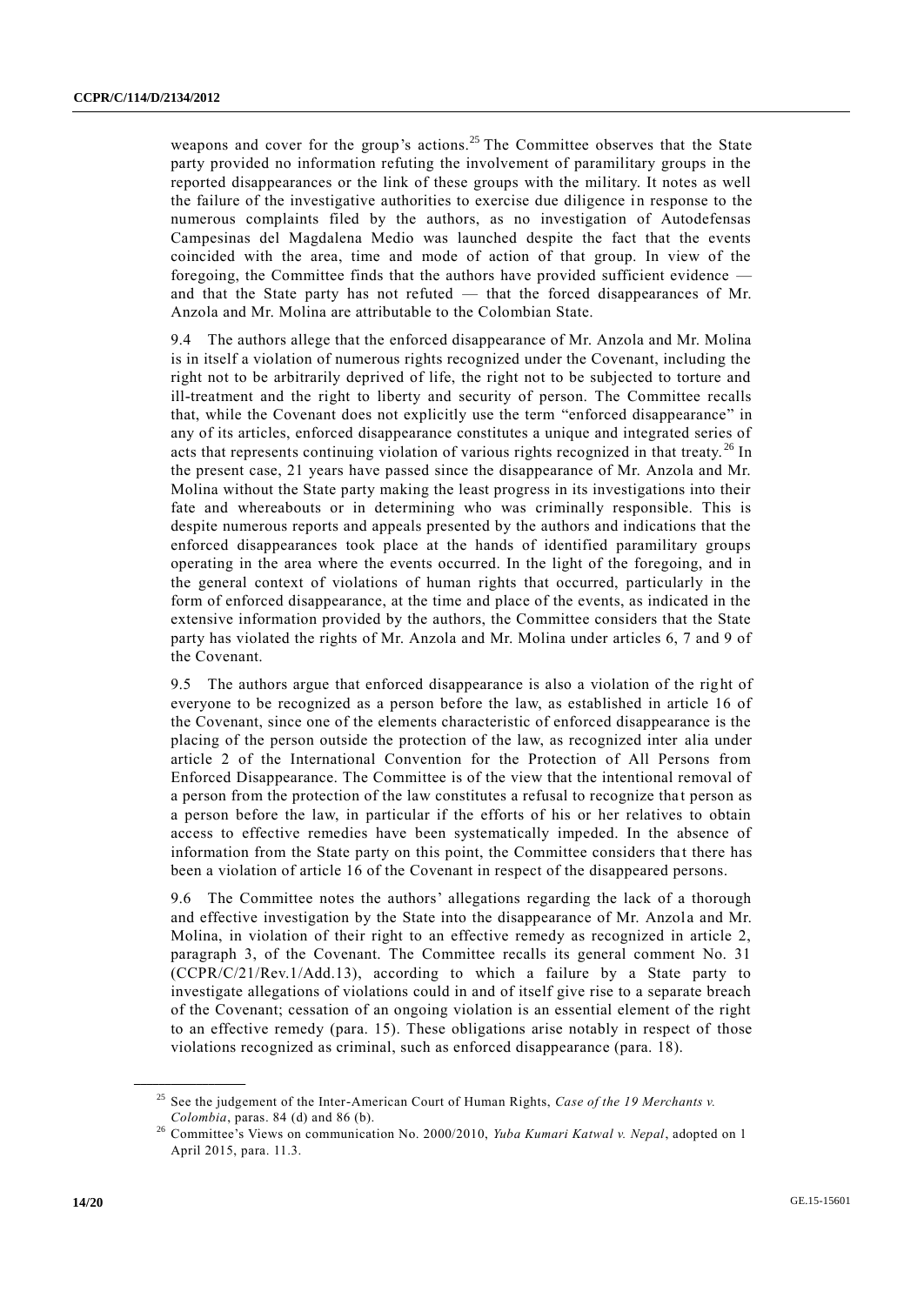weapons and cover for the group's actions.<sup>25</sup> The Committee observes that the State party provided no information refuting the involvement of paramilitary groups in the reported disappearances or the link of these groups with the military. It notes as well the failure of the investigative authorities to exercise due diligence in response to the numerous complaints filed by the authors, as no investigation of Autodefensas Campesinas del Magdalena Medio was launched despite the fact that the events coincided with the area, time and mode of action of that group. In view of the foregoing, the Committee finds that the authors have provided sufficient evidence and that the State party has not refuted — that the forced disappearances of Mr. Anzola and Mr. Molina are attributable to the Colombian State.

9.4 The authors allege that the enforced disappearance of Mr. Anzola and Mr. Molina is in itself a violation of numerous rights recognized under the Covenant, including the right not to be arbitrarily deprived of life, the right not to be subjected to torture and ill-treatment and the right to liberty and security of person. The Committee recalls that, while the Covenant does not explicitly use the term "enforced disappearance" in any of its articles, enforced disappearance constitutes a unique and integrated series of acts that represents continuing violation of various rights recognized in that treaty.<sup>26</sup> In the present case, 21 years have passed since the disappearance of Mr. Anzola and Mr. Molina without the State party making the least progress in its investigations into their fate and whereabouts or in determining who was criminally responsible. This is despite numerous reports and appeals presented by the authors and indications that the enforced disappearances took place at the hands of identified paramilitary groups operating in the area where the events occurred. In the light of the foregoing, and in the general context of violations of human rights that occurred, particularly in the form of enforced disappearance, at the time and place of the events, as indicated in the extensive information provided by the authors, the Committee considers that the State party has violated the rights of Mr. Anzola and Mr. Molina under articles 6, 7 and 9 of the Covenant.

9.5 The authors argue that enforced disappearance is also a violation of the right of everyone to be recognized as a person before the law, as established in article 16 of the Covenant, since one of the elements characteristic of enforced disappearance is the placing of the person outside the protection of the law, as recognized inter alia under article 2 of the International Convention for the Protection of All Persons from Enforced Disappearance. The Committee is of the view that the intentional removal of a person from the protection of the law constitutes a refusal to recognize tha t person as a person before the law, in particular if the efforts of his or her relatives to obtain access to effective remedies have been systematically impeded. In the absence of information from the State party on this point, the Committee considers that there has been a violation of article 16 of the Covenant in respect of the disappeared persons.

9.6 The Committee notes the authors' allegations regarding the lack of a thorough and effective investigation by the State into the disappearance of Mr. Anzola and Mr. Molina, in violation of their right to an effective remedy as recognized in article 2, paragraph 3, of the Covenant. The Committee recalls its general comment No. 31 (CCPR/C/21/Rev.1/Add.13), according to which a failure by a State party to investigate allegations of violations could in and of itself give rise to a separate breach of the Covenant; cessation of an ongoing violation is an essential element of the right to an effective remedy (para. 15). These obligations arise notably in respect of those violations recognized as criminal, such as enforced disappearance (para. 18).

<sup>25</sup> See the judgement of the Inter-American Court of Human Rights, *Case of the 19 Merchants v. Colombia*, paras. 84 (d) and 86 (b).

<sup>26</sup> Committee's Views on communication No. 2000/2010, *Yuba Kumari Katwal v. Nepal*, adopted on 1 April 2015, para. 11.3.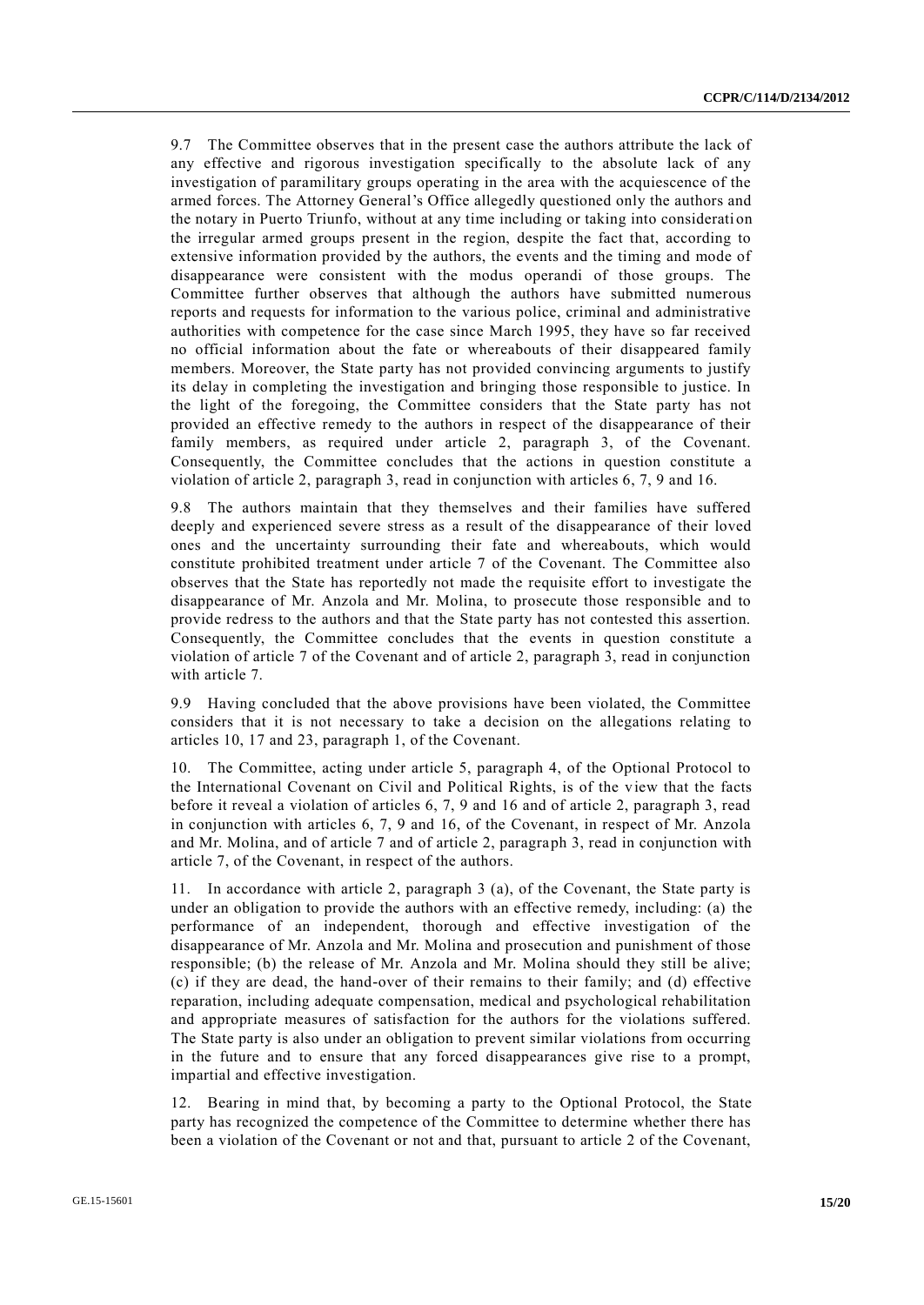9.7 The Committee observes that in the present case the authors attribute the lack of any effective and rigorous investigation specifically to the absolute lack of any investigation of paramilitary groups operating in the area with the acquiescence of the armed forces. The Attorney General's Office allegedly questioned only the authors and the notary in Puerto Triunfo, without at any time including or taking into considerati on the irregular armed groups present in the region, despite the fact that, according to extensive information provided by the authors, the events and the timing and mode of disappearance were consistent with the modus operandi of those groups. The Committee further observes that although the authors have submitted numerous reports and requests for information to the various police, criminal and administrative authorities with competence for the case since March 1995, they have so far received no official information about the fate or whereabouts of their disappeared family members. Moreover, the State party has not provided convincing arguments to justify its delay in completing the investigation and bringing those responsible to justice. In the light of the foregoing, the Committee considers that the State party has not provided an effective remedy to the authors in respect of the disappearance of their family members, as required under article 2, paragraph 3, of the Covenant. Consequently, the Committee concludes that the actions in question constitute a violation of article 2, paragraph 3, read in conjunction with articles 6, 7, 9 and 16.

9.8 The authors maintain that they themselves and their families have suffered deeply and experienced severe stress as a result of the disappearance of their loved ones and the uncertainty surrounding their fate and whereabouts, which would constitute prohibited treatment under article 7 of the Covenant. The Committee also observes that the State has reportedly not made the requisite effort to investigate the disappearance of Mr. Anzola and Mr. Molina, to prosecute those responsible and to provide redress to the authors and that the State party has not contested this assertion. Consequently, the Committee concludes that the events in question constitute a violation of article 7 of the Covenant and of article 2, paragraph 3, read in conjunction with article 7.

9.9 Having concluded that the above provisions have been violated, the Committee considers that it is not necessary to take a decision on the allegations relating to articles 10, 17 and 23, paragraph 1, of the Covenant.

10. The Committee, acting under article 5, paragraph 4, of the Optional Protocol to the International Covenant on Civil and Political Rights, is of the view that the facts before it reveal a violation of articles 6, 7, 9 and 16 and of article 2, paragraph 3, read in conjunction with articles 6, 7, 9 and 16, of the Covenant, in respect of Mr. Anzola and Mr. Molina, and of article 7 and of article 2, paragraph 3, read in conjunction with article 7, of the Covenant, in respect of the authors.

11. In accordance with article 2, paragraph 3 (a), of the Covenant, the State party is under an obligation to provide the authors with an effective remedy, including: (a) the performance of an independent, thorough and effective investigation of the disappearance of Mr. Anzola and Mr. Molina and prosecution and punishment of those responsible; (b) the release of Mr. Anzola and Mr. Molina should they still be alive; (c) if they are dead, the hand-over of their remains to their family; and (d) effective reparation, including adequate compensation, medical and psychological rehabilitation and appropriate measures of satisfaction for the authors for the violations suffered. The State party is also under an obligation to prevent similar violations from occurring in the future and to ensure that any forced disappearances give rise to a prompt, impartial and effective investigation.

12. Bearing in mind that, by becoming a party to the Optional Protocol, the State party has recognized the competence of the Committee to determine whether there has been a violation of the Covenant or not and that, pursuant to article 2 of the Covenant,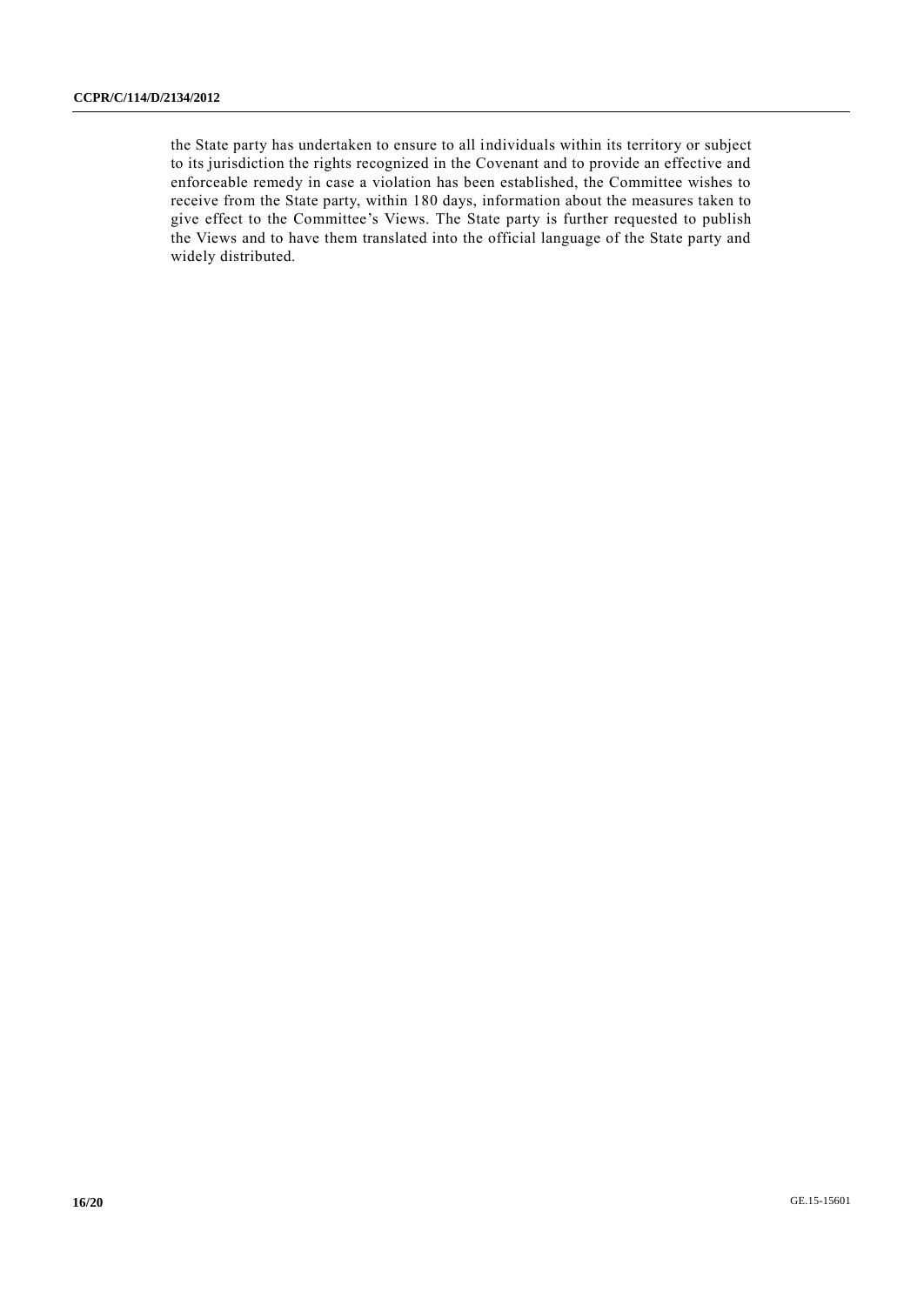the State party has undertaken to ensure to all individuals within its territory or subject to its jurisdiction the rights recognized in the Covenant and to provide an effective and enforceable remedy in case a violation has been established, the Committee wishes to receive from the State party, within 180 days, information about the measures taken to give effect to the Committee's Views. The State party is further requested to publish the Views and to have them translated into the official language of the State party and widely distributed.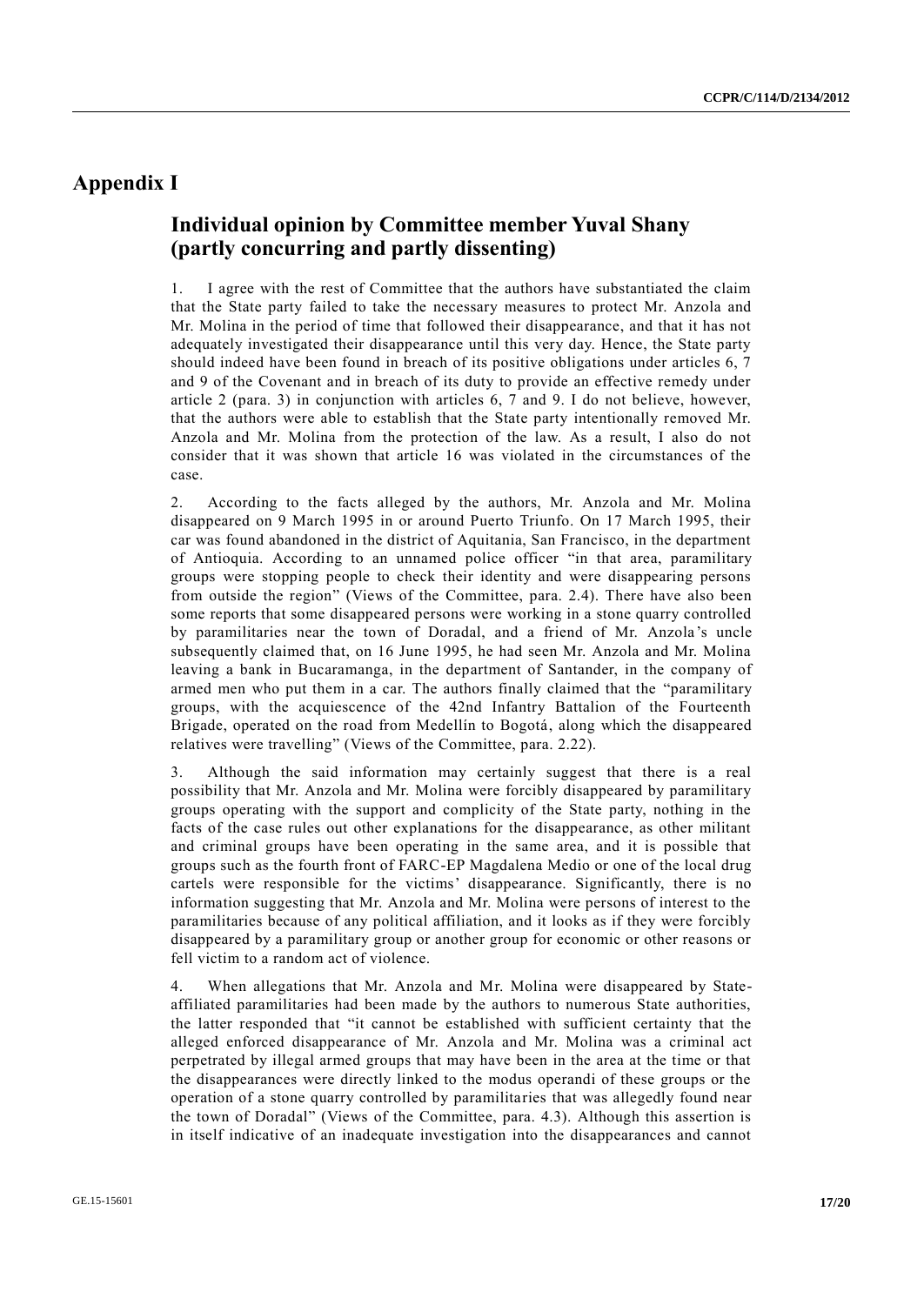# **Appendix I**

# **Individual opinion by Committee member Yuval Shany (partly concurring and partly dissenting)**

1. I agree with the rest of Committee that the authors have substantiated the claim that the State party failed to take the necessary measures to protect Mr. Anzola and Mr. Molina in the period of time that followed their disappearance, and that it has not adequately investigated their disappearance until this very day. Hence, the State party should indeed have been found in breach of its positive obligations under articles 6, 7 and 9 of the Covenant and in breach of its duty to provide an effective remedy under article 2 (para. 3) in conjunction with articles 6, 7 and 9. I do not believe, however, that the authors were able to establish that the State party intentionally removed Mr. Anzola and Mr. Molina from the protection of the law. As a result, I also do not consider that it was shown that article 16 was violated in the circumstances of the case.

2. According to the facts alleged by the authors, Mr. Anzola and Mr. Molina disappeared on 9 March 1995 in or around Puerto Triunfo. On 17 March 1995, their car was found abandoned in the district of Aquitania, San Francisco, in the department of Antioquia. According to an unnamed police officer "in that area, paramilitary groups were stopping people to check their identity and were disappearing persons from outside the region" (Views of the Committee, para. 2.4). There have also been some reports that some disappeared persons were working in a stone quarry controlled by paramilitaries near the town of Doradal, and a friend of Mr. Anzola 's uncle subsequently claimed that, on 16 June 1995, he had seen Mr. Anzola and Mr. Molina leaving a bank in Bucaramanga, in the department of Santander, in the company of armed men who put them in a car. The authors finally claimed that the "paramilitary groups, with the acquiescence of the 42nd Infantry Battalion of the Fourteenth Brigade, operated on the road from Medellín to Bogotá, along which the disappeared relatives were travelling" (Views of the Committee, para. 2.22).

3. Although the said information may certainly suggest that there is a real possibility that Mr. Anzola and Mr. Molina were forcibly disappeared by paramilitary groups operating with the support and complicity of the State party, nothing in the facts of the case rules out other explanations for the disappearance, as other militant and criminal groups have been operating in the same area, and it is possible that groups such as the fourth front of FARC-EP Magdalena Medio or one of the local drug cartels were responsible for the victims' disappearance. Significantly, there is no information suggesting that Mr. Anzola and Mr. Molina were persons of interest to the paramilitaries because of any political affiliation, and it looks as if they were forcibly disappeared by a paramilitary group or another group for economic or other reasons or fell victim to a random act of violence.

4. When allegations that Mr. Anzola and Mr. Molina were disappeared by Stateaffiliated paramilitaries had been made by the authors to numerous State authorities, the latter responded that "it cannot be established with sufficient certainty that the alleged enforced disappearance of Mr. Anzola and Mr. Molina was a criminal act perpetrated by illegal armed groups that may have been in the area at the time or that the disappearances were directly linked to the modus operandi of these groups or the operation of a stone quarry controlled by paramilitaries that was allegedly found near the town of Doradal" (Views of the Committee, para. 4.3). Although this assertion is in itself indicative of an inadequate investigation into the disappearances and cannot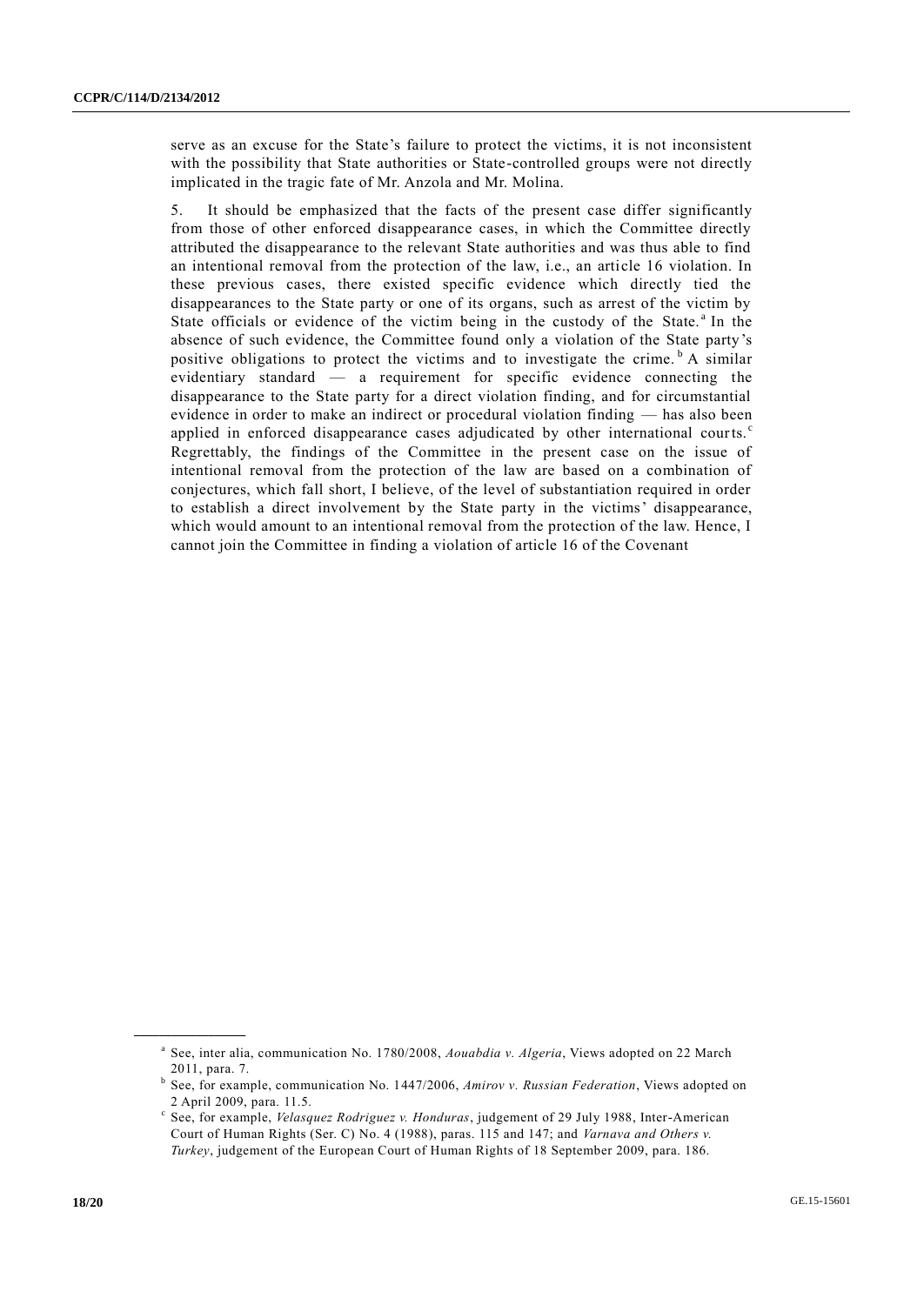serve as an excuse for the State's failure to protect the victims, it is not inconsistent with the possibility that State authorities or State-controlled groups were not directly implicated in the tragic fate of Mr. Anzola and Mr. Molina.

5. It should be emphasized that the facts of the present case differ significantly from those of other enforced disappearance cases, in which the Committee directly attributed the disappearance to the relevant State authorities and was thus able to find an intentional removal from the protection of the law, i.e., an article 16 violation. In these previous cases, there existed specific evidence which directly tied the disappearances to the State party or one of its organs, such as arrest of the victim by State officials or evidence of the victim being in the custody of the State.<sup>a</sup> In the absence of such evidence, the Committee found only a violation of the State party's positive obligations to protect the victims and to investigate the crime.  $\overline{b}$  A similar evidentiary standard — a requirement for specific evidence connecting the disappearance to the State party for a direct violation finding, and for circumstantial evidence in order to make an indirect or procedural violation finding — has also been applied in enforced disappearance cases adjudicated by other international courts.<sup>c</sup> Regrettably, the findings of the Committee in the present case on the issue of intentional removal from the protection of the law are based on a combination of conjectures, which fall short, I believe, of the level of substantiation required in order to establish a direct involvement by the State party in the victims' disappearance, which would amount to an intentional removal from the protection of the law. Hence, I cannot join the Committee in finding a violation of article 16 of the Covenant

a See, inter alia, communication No. 1780/2008, *Aouabdia v. Algeria*, Views adopted on 22 March 2011, para. 7.

b See, for example, communication No. 1447/2006, *Amirov v. Russian Federation*, Views adopted on 2 April 2009, para. 11.5.

c See, for example, *Velasquez Rodriguez v. Honduras*, judgement of 29 July 1988, Inter-American Court of Human Rights (Ser. C) No. 4 (1988), paras. 115 and 147; and *Varnava and Others v. Turkey*, judgement of the European Court of Human Rights of 18 September 2009, para. 186.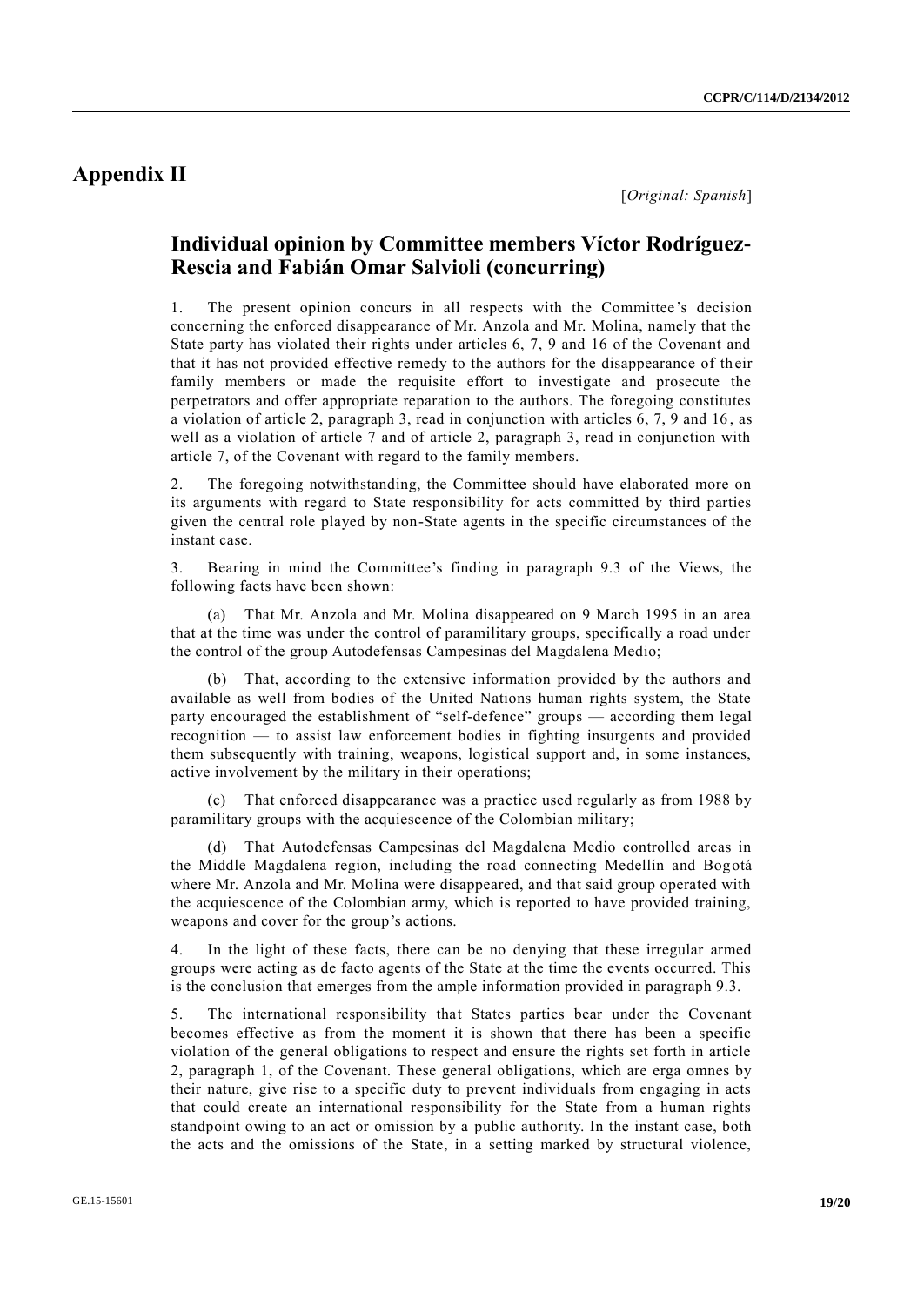## **Appendix II**

## **Individual opinion by Committee members Víctor Rodríguez-Rescia and Fabián Omar Salvioli (concurring)**

1. The present opinion concurs in all respects with the Committee 's decision concerning the enforced disappearance of Mr. Anzola and Mr. Molina, namely that the State party has violated their rights under articles 6, 7, 9 and 16 of the Covenant and that it has not provided effective remedy to the authors for the disappearance of th eir family members or made the requisite effort to investigate and prosecute the perpetrators and offer appropriate reparation to the authors. The foregoing constitutes a violation of article 2, paragraph 3, read in conjunction with articles 6, 7, 9 and 16 , as well as a violation of article 7 and of article 2, paragraph 3, read in conjunction with article 7, of the Covenant with regard to the family members.

2. The foregoing notwithstanding, the Committee should have elaborated more on its arguments with regard to State responsibility for acts committed by third parties given the central role played by non-State agents in the specific circumstances of the instant case.

3. Bearing in mind the Committee's finding in paragraph 9.3 of the Views, the following facts have been shown:

(a) That Mr. Anzola and Mr. Molina disappeared on 9 March 1995 in an area that at the time was under the control of paramilitary groups, specifically a road under the control of the group Autodefensas Campesinas del Magdalena Medio;

(b) That, according to the extensive information provided by the authors and available as well from bodies of the United Nations human rights system, the State party encouraged the establishment of "self-defence" groups — according them legal recognition — to assist law enforcement bodies in fighting insurgents and provided them subsequently with training, weapons, logistical support and, in some instances, active involvement by the military in their operations;

(c) That enforced disappearance was a practice used regularly as from 1988 by paramilitary groups with the acquiescence of the Colombian military;

(d) That Autodefensas Campesinas del Magdalena Medio controlled areas in the Middle Magdalena region, including the road connecting Medellín and Bogotá where Mr. Anzola and Mr. Molina were disappeared, and that said group operated with the acquiescence of the Colombian army, which is reported to have provided training, weapons and cover for the group's actions.

4. In the light of these facts, there can be no denying that these irregular armed groups were acting as de facto agents of the State at the time the events occurred. This is the conclusion that emerges from the ample information provided in paragraph 9.3.

5. The international responsibility that States parties bear under the Covenant becomes effective as from the moment it is shown that there has been a specific violation of the general obligations to respect and ensure the rights set forth in article 2, paragraph 1, of the Covenant. These general obligations, which are erga omnes by their nature, give rise to a specific duty to prevent individuals from engaging in acts that could create an international responsibility for the State from a human rights standpoint owing to an act or omission by a public authority. In the instant case, both the acts and the omissions of the State, in a setting marked by structural violence,